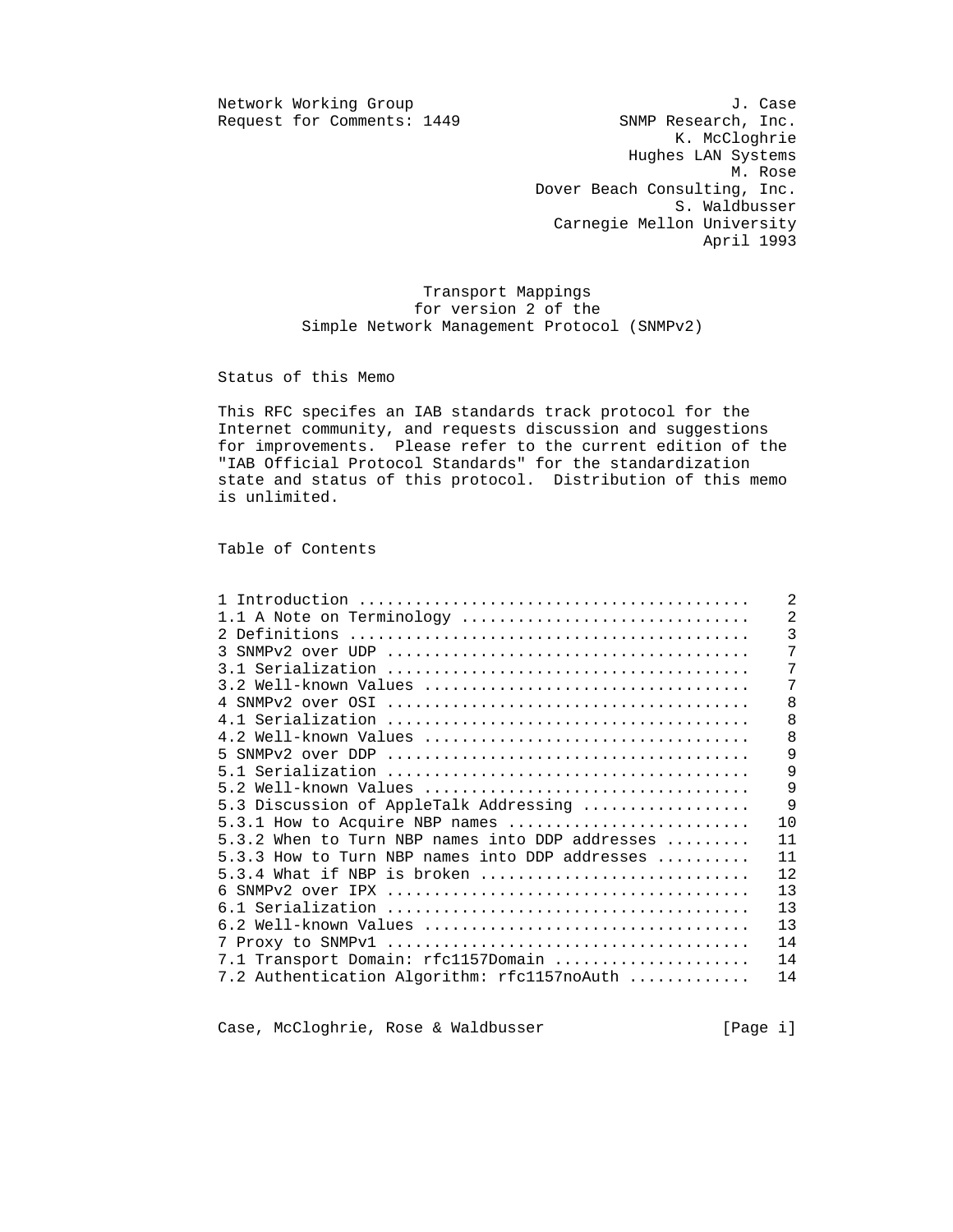$Reguest for Comments: 1449$ 

Network Working Group J. Case<br>Request for Comments: 1449 SNMP Research, Inc. K. McCloghrie Hughes LAN Systems M. Rose Dover Beach Consulting, Inc. S. Waldbusser Carnegie Mellon University April 1993

> Transport Mappings for version 2 of the Simple Network Management Protocol (SNMPv2)

Status of this Memo

 This RFC specifes an IAB standards track protocol for the Internet community, and requests discussion and suggestions for improvements. Please refer to the current edition of the "IAB Official Protocol Standards" for the standardization state and status of this protocol. Distribution of this memo is unlimited.

Table of Contents

|                                                                  | $\overline{2}$ |
|------------------------------------------------------------------|----------------|
| 1.1 A Note on Terminology                                        | $\overline{2}$ |
|                                                                  | 3              |
|                                                                  | 7              |
|                                                                  | 7              |
|                                                                  | 7              |
|                                                                  | 8              |
|                                                                  | 8              |
| 4.2 Well-known Values                                            | 8              |
|                                                                  | 9              |
|                                                                  | 9              |
|                                                                  | 9              |
| 5.3 Discussion of AppleTalk Addressing                           | $\mathsf{Q}$   |
| 5.3.1 How to Acquire NBP names                                   | 10             |
| 5.3.2 When to Turn NBP names into DDP addresses $\ldots \ldots$  | 11             |
| 5.3.3 How to Turn NBP names into DDP addresses $\dots\dots\dots$ | 11             |
| $5.3.4$ What if NBP is broken                                    | 12             |
|                                                                  | 13             |
|                                                                  | 13             |
|                                                                  | 13             |
|                                                                  | 14             |
| 7.1 Transport Domain: rfc1157Domain                              | 14             |
| 7.2 Authentication Algorithm: rfc1157noAuth                      | 14             |
|                                                                  |                |

Case, McCloghrie, Rose & Waldbusser [Page i]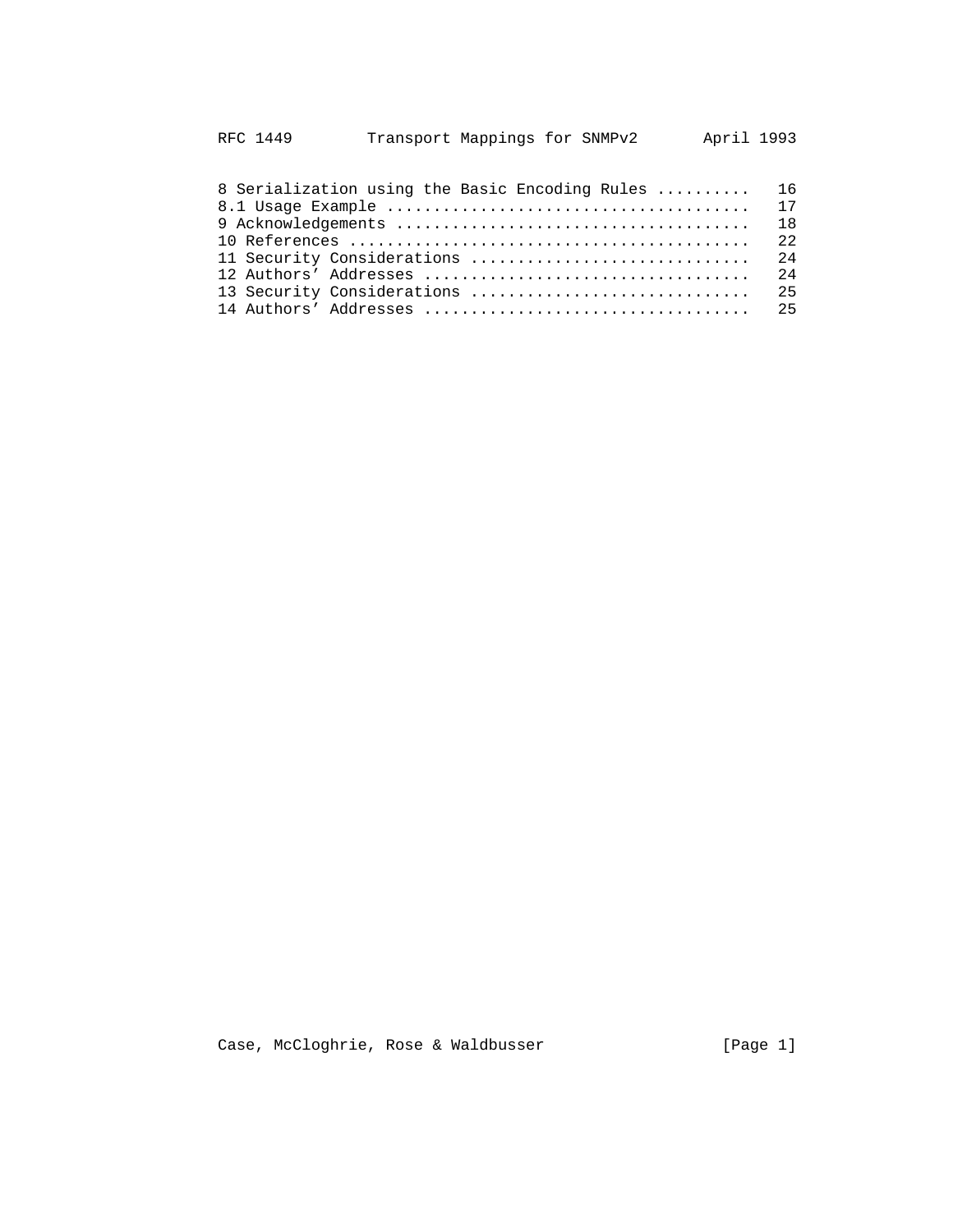| RFC 1449 | Transport Mappings for SNMPv2 |  | April 1993 |
|----------|-------------------------------|--|------------|
|----------|-------------------------------|--|------------|

| 8 Serialization using the Basic Encoding Rules  16 |  |
|----------------------------------------------------|--|
|                                                    |  |
|                                                    |  |
|                                                    |  |
|                                                    |  |
|                                                    |  |
|                                                    |  |
|                                                    |  |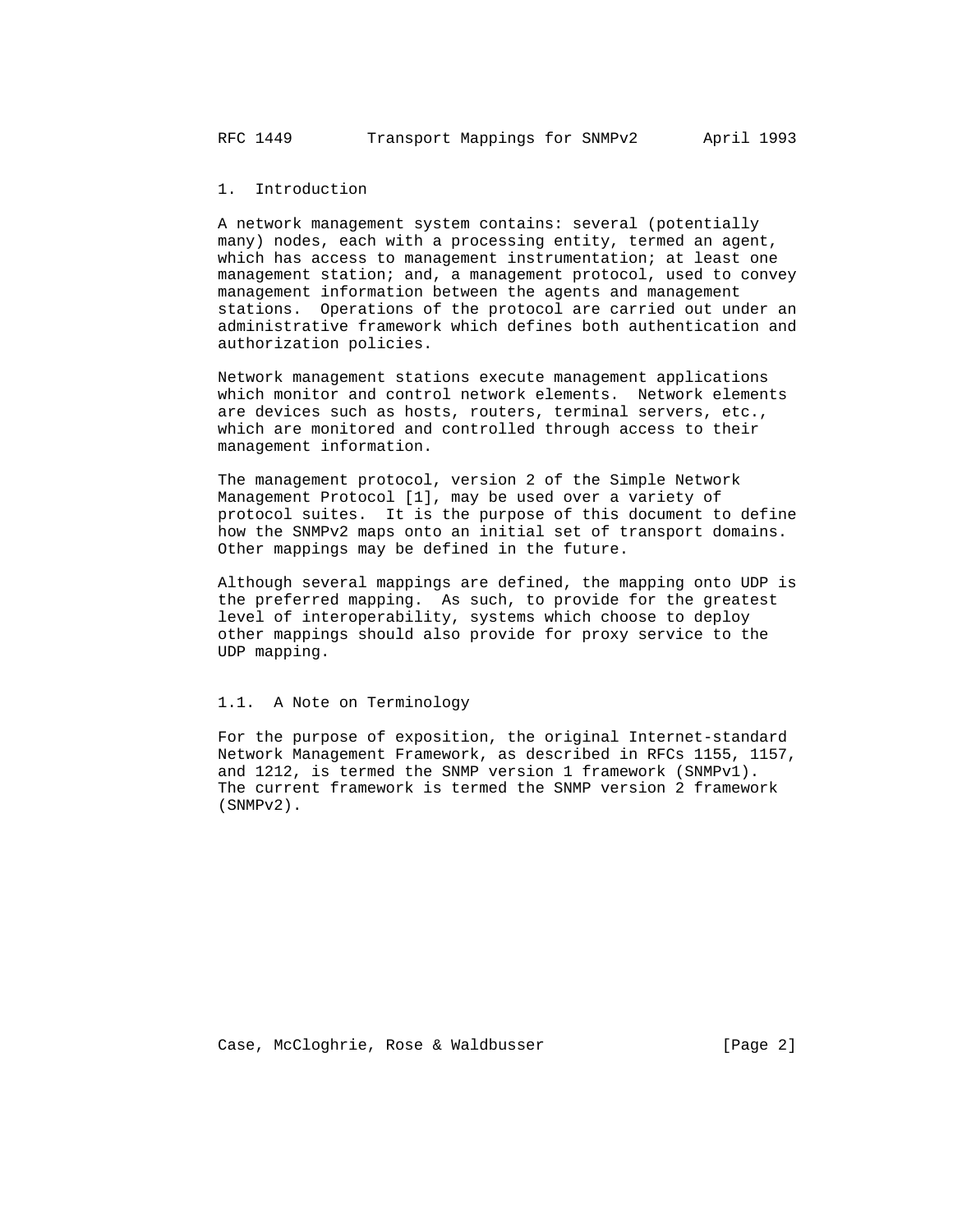1. Introduction

 A network management system contains: several (potentially many) nodes, each with a processing entity, termed an agent, which has access to management instrumentation; at least one management station; and, a management protocol, used to convey management information between the agents and management stations. Operations of the protocol are carried out under an administrative framework which defines both authentication and authorization policies.

 Network management stations execute management applications which monitor and control network elements. Network elements are devices such as hosts, routers, terminal servers, etc., which are monitored and controlled through access to their management information.

 The management protocol, version 2 of the Simple Network Management Protocol [1], may be used over a variety of protocol suites. It is the purpose of this document to define how the SNMPv2 maps onto an initial set of transport domains. Other mappings may be defined in the future.

 Although several mappings are defined, the mapping onto UDP is the preferred mapping. As such, to provide for the greatest level of interoperability, systems which choose to deploy other mappings should also provide for proxy service to the UDP mapping.

## 1.1. A Note on Terminology

 For the purpose of exposition, the original Internet-standard Network Management Framework, as described in RFCs 1155, 1157, and 1212, is termed the SNMP version 1 framework (SNMPv1). The current framework is termed the SNMP version 2 framework (SNMPv2).

Case, McCloghrie, Rose & Waldbusser (Page 2)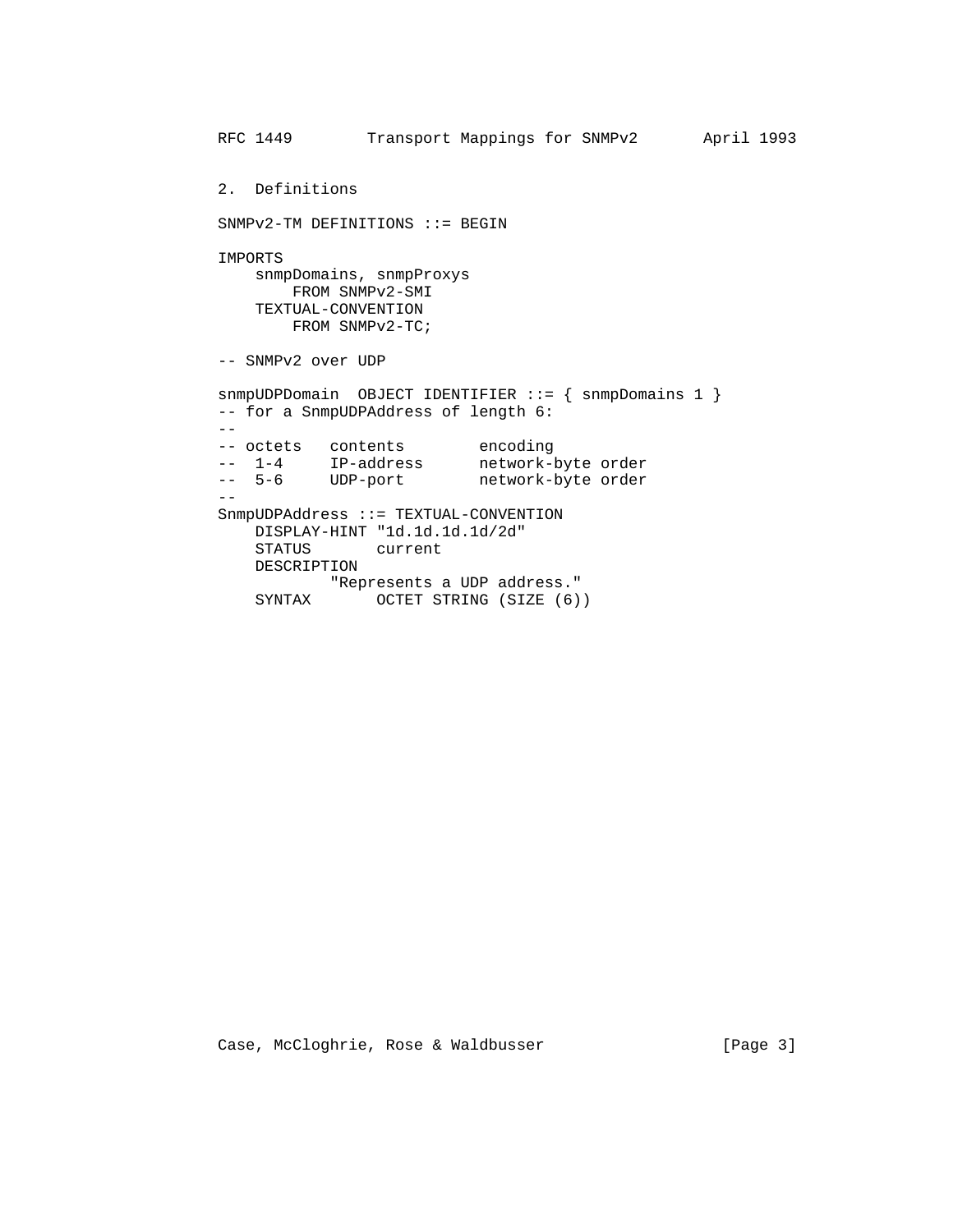```
 RFC 1449 Transport Mappings for SNMPv2 April 1993
         2. Definitions
         SNMPv2-TM DEFINITIONS ::= BEGIN
         IMPORTS
            snmpDomains, snmpProxys
               FROM SNMPv2-SMI
            TEXTUAL-CONVENTION
              FROM SNMPv2-TC;
         -- SNMPv2 over UDP
         snmpUDPDomain OBJECT IDENTIFIER ::= { snmpDomains 1 }
         -- for a SnmpUDPAddress of length 6:
        - -- octets contents encoding
 -- 1-4 IP-address network-byte order
 -- 5-6 UDP-port network-byte order
 --
         SnmpUDPAddress ::= TEXTUAL-CONVENTION
            DISPLAY-HINT "1d.1d.1d.1d/2d"
             STATUS current
            DESCRIPTION
                    "Represents a UDP address."
            SYNTAX OCTET STRING (SIZE (6))
```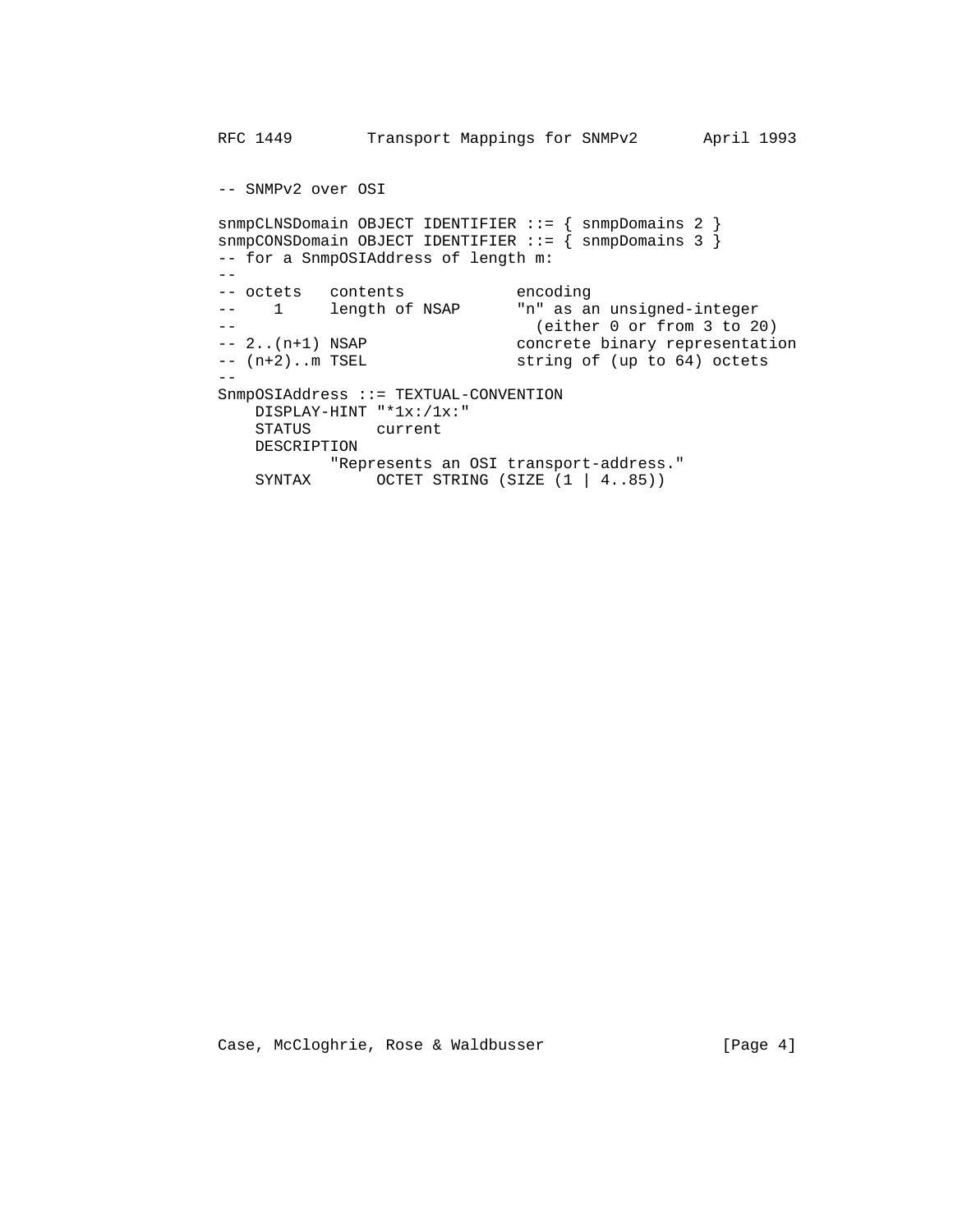```
 RFC 1449 Transport Mappings for SNMPv2 April 1993
          -- SNMPv2 over OSI
          snmpCLNSDomain OBJECT IDENTIFIER ::= { snmpDomains 2 }
         snmpCONSDomain OBJECT IDENTIFIER ::= { snmpDomains 3 }
          -- for a SnmpOSIAddress of length m:
          --
-- octets contents encoding
 -- 1 length of NSAP "n" as an unsigned-integer
          -- (either 0 or from 3 to 20)
                                      concrete binary representation
         -- 2..(n+1) NSAP concrete binary representat:<br>-- (n+2)..m TSEL string of (up to 64) octets
 --
          SnmpOSIAddress ::= TEXTUAL-CONVENTION
            DISPLAY-HINT "*1x:/1x:"<br>STATUS current
                        current
             DESCRIPTION
                     "Represents an OSI transport-address."
            SYNTAX OCTET STRING (SIZE (1 | 4..85))
```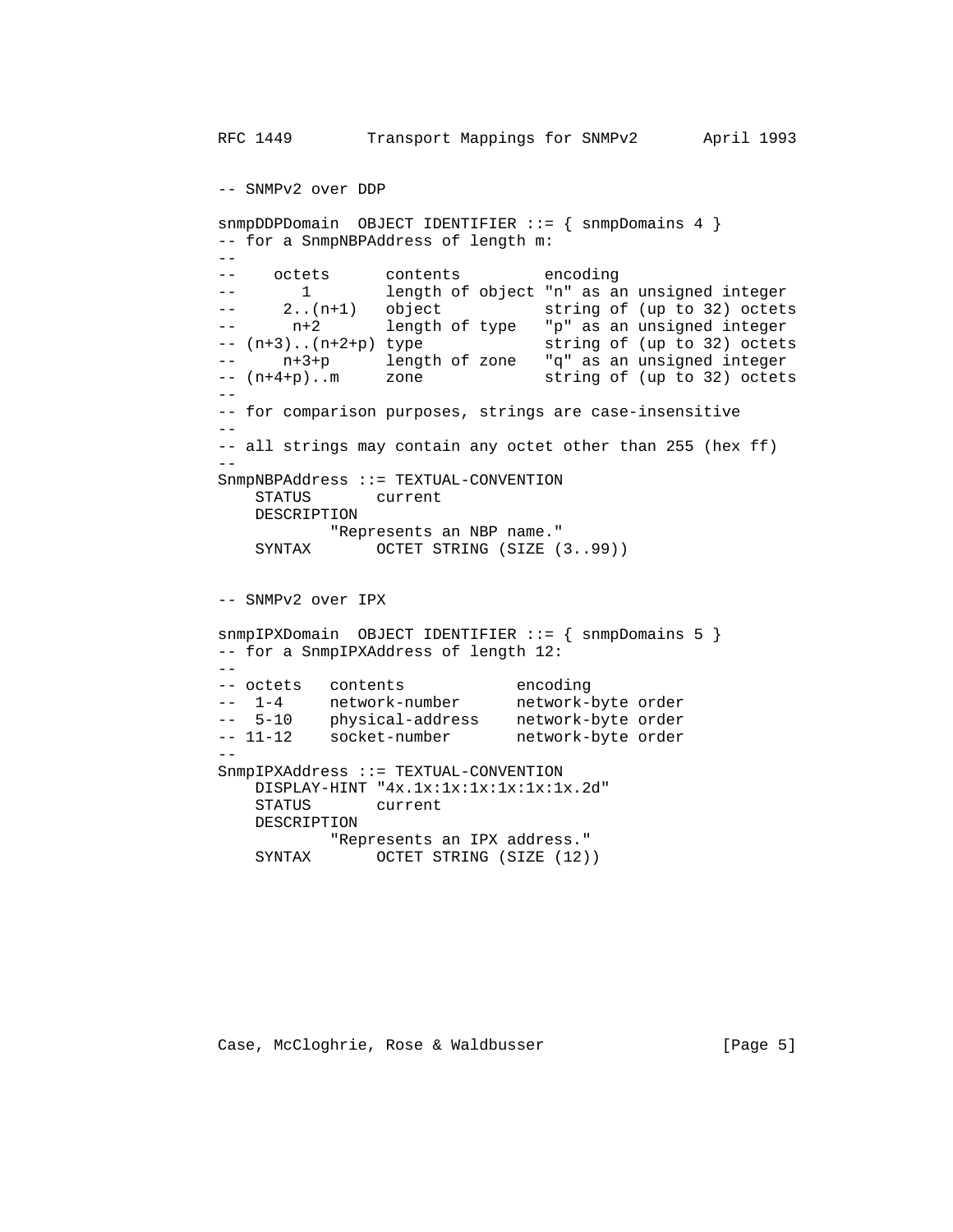```
 RFC 1449 Transport Mappings for SNMPv2 April 1993
         -- SNMPv2 over DDP
         snmpDDPDomain OBJECT IDENTIFIER ::= { snmpDomains 4 }
         -- for a SnmpNBPAddress of length m:
         --
        -- octets contents encoding<br>
1 least of chiest "n" as a
        -- 1 length of object "n" as an unsigned integer
 -- 2..(n+1) object string of (up to 32) octets
 -- n+2 length of type "p" as an unsigned integer
 -- (n+3)..(n+2+p) type string of (up to 32) octets
 -- n+3+p length of zone "q" as an unsigned integer
 -- (n+4+p)..m zone string of (up to 32) octets
 --
         -- for comparison purposes, strings are case-insensitive
        - -- all strings may contain any octet other than 255 (hex ff)
 --
         SnmpNBPAddress ::= TEXTUAL-CONVENTION
            STATUS current
            DESCRIPTION
                   "Represents an NBP name."
           SYNTAX OCTET STRING (SIZE (3..99))
         -- SNMPv2 over IPX
         snmpIPXDomain OBJECT IDENTIFIER ::= { snmpDomains 5 }
         -- for a SnmpIPXAddress of length 12:
        - -- octets contents encoding
         -- 1-4 network-number network-byte order
 -- 5-10 physical-address network-byte order
-- 11-12 socket-number metwork-byte order
 --
         SnmpIPXAddress ::= TEXTUAL-CONVENTION
            DISPLAY-HINT "4x.1x:1x:1x:1x:1x:1x.2d"
            STATUS current
            DESCRIPTION
                 "Represents an IPX address."
           SYNTAX OCTET STRING (SIZE (12))
```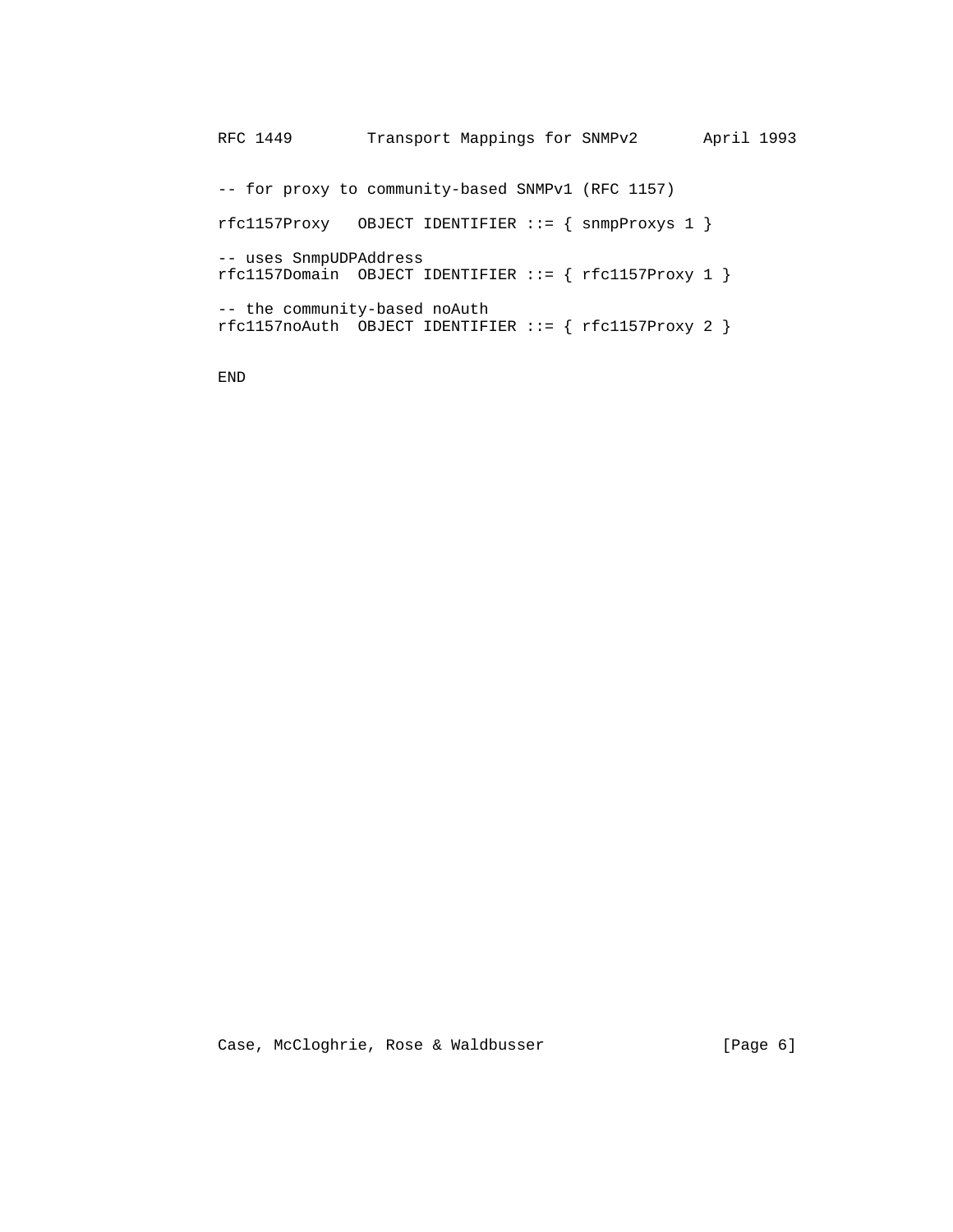RFC 1449 Transport Mappings for SNMPv2 April 1993 -- for proxy to community-based SNMPv1 (RFC 1157) rfc1157Proxy OBJECT IDENTIFIER ::= { snmpProxys 1 } -- uses SnmpUDPAddress rfc1157Domain OBJECT IDENTIFIER ::= { rfc1157Proxy 1 } -- the community-based noAuth  $rfc1157$ noAuth OBJECT IDENTIFIER ::= {  $rfc1157$ Proxy 2 }

END

Case, McCloghrie, Rose & Waldbusser [Page 6]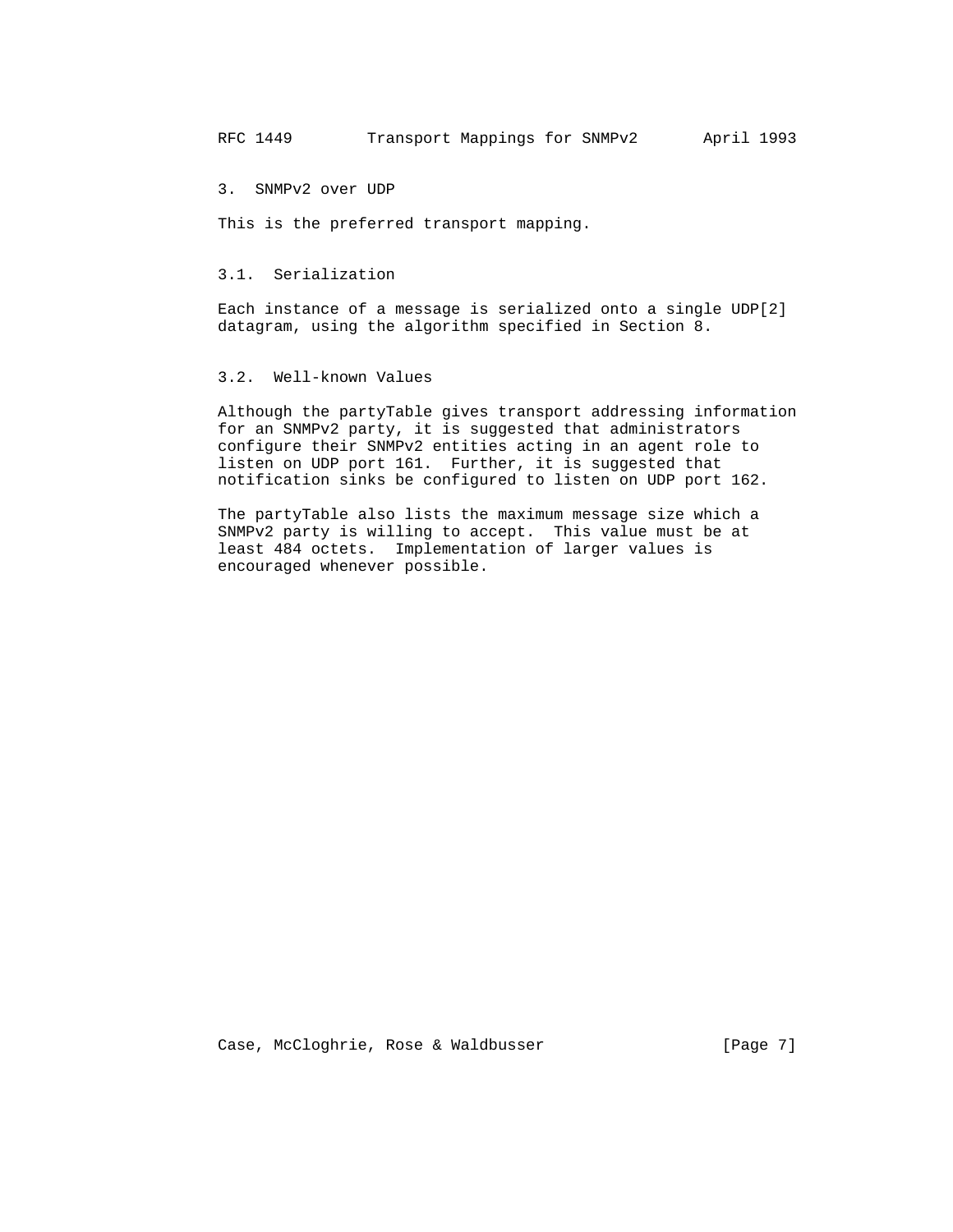3. SNMPv2 over UDP

This is the preferred transport mapping.

## 3.1. Serialization

 Each instance of a message is serialized onto a single UDP[2] datagram, using the algorithm specified in Section 8.

# 3.2. Well-known Values

 Although the partyTable gives transport addressing information for an SNMPv2 party, it is suggested that administrators configure their SNMPv2 entities acting in an agent role to listen on UDP port 161. Further, it is suggested that notification sinks be configured to listen on UDP port 162.

 The partyTable also lists the maximum message size which a SNMPv2 party is willing to accept. This value must be at least 484 octets. Implementation of larger values is encouraged whenever possible.

Case, McCloghrie, Rose & Waldbusser [Page 7]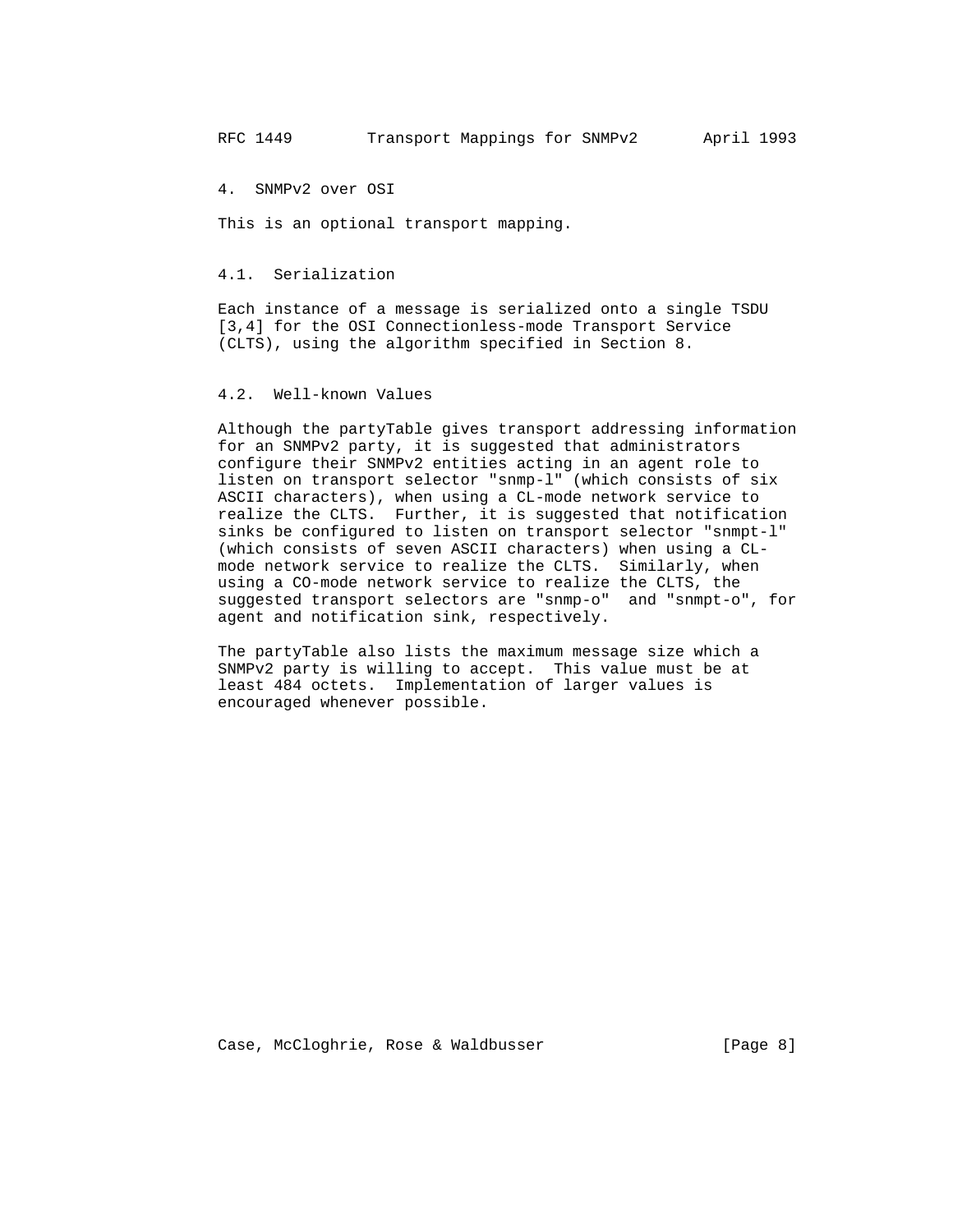4. SNMPv2 over OSI

This is an optional transport mapping.

## 4.1. Serialization

 Each instance of a message is serialized onto a single TSDU [3,4] for the OSI Connectionless-mode Transport Service (CLTS), using the algorithm specified in Section 8.

## 4.2. Well-known Values

 Although the partyTable gives transport addressing information for an SNMPv2 party, it is suggested that administrators configure their SNMPv2 entities acting in an agent role to listen on transport selector "snmp-l" (which consists of six ASCII characters), when using a CL-mode network service to realize the CLTS. Further, it is suggested that notification sinks be configured to listen on transport selector "snmpt-l" (which consists of seven ASCII characters) when using a CL mode network service to realize the CLTS. Similarly, when using a CO-mode network service to realize the CLTS, the suggested transport selectors are "snmp-o" and "snmpt-o", for agent and notification sink, respectively.

 The partyTable also lists the maximum message size which a SNMPv2 party is willing to accept. This value must be at least 484 octets. Implementation of larger values is encouraged whenever possible.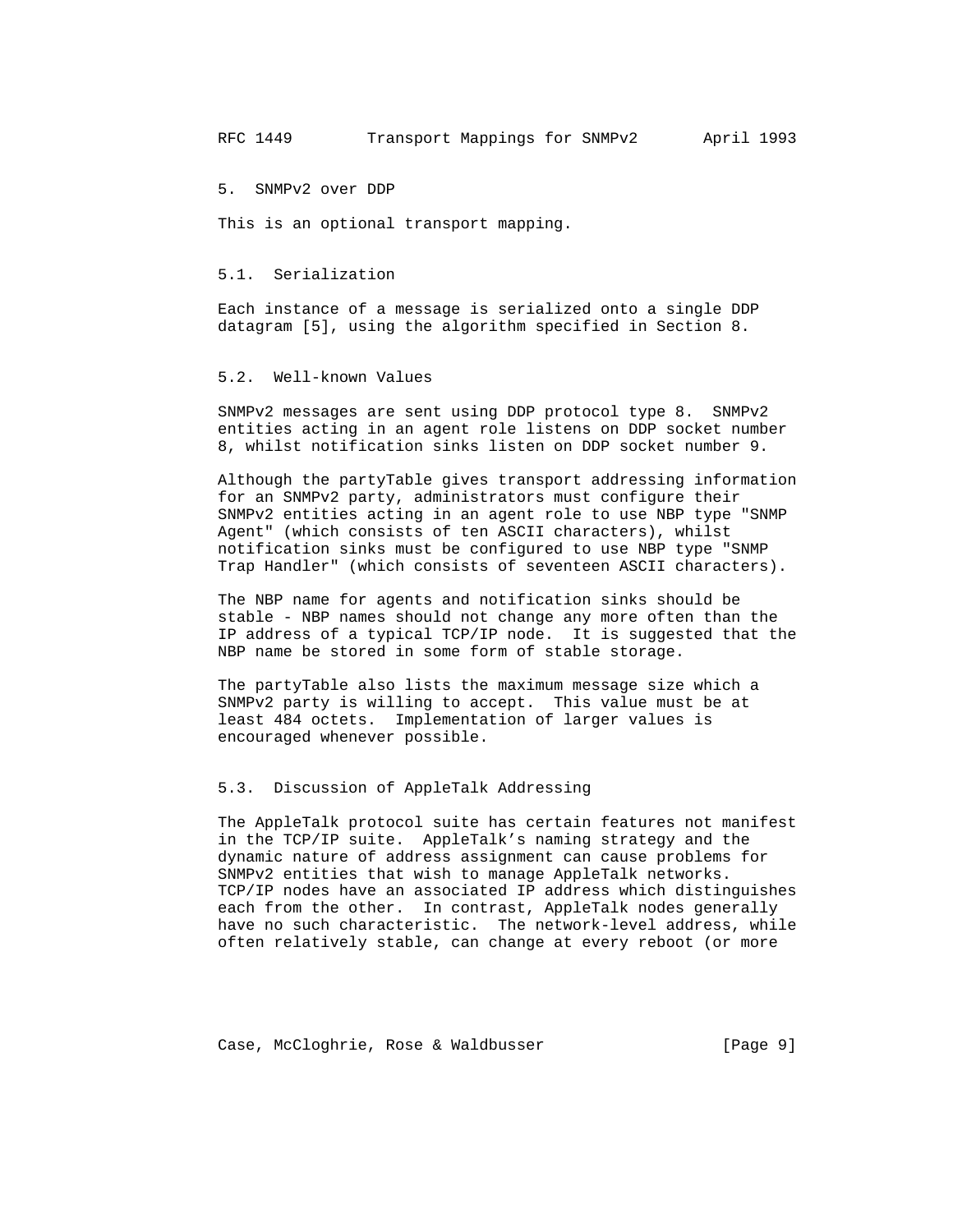5. SNMPv2 over DDP

This is an optional transport mapping.

#### 5.1. Serialization

 Each instance of a message is serialized onto a single DDP datagram [5], using the algorithm specified in Section 8.

## 5.2. Well-known Values

 SNMPv2 messages are sent using DDP protocol type 8. SNMPv2 entities acting in an agent role listens on DDP socket number 8, whilst notification sinks listen on DDP socket number 9.

 Although the partyTable gives transport addressing information for an SNMPv2 party, administrators must configure their SNMPv2 entities acting in an agent role to use NBP type "SNMP Agent" (which consists of ten ASCII characters), whilst notification sinks must be configured to use NBP type "SNMP Trap Handler" (which consists of seventeen ASCII characters).

 The NBP name for agents and notification sinks should be stable - NBP names should not change any more often than the IP address of a typical TCP/IP node. It is suggested that the NBP name be stored in some form of stable storage.

 The partyTable also lists the maximum message size which a SNMPv2 party is willing to accept. This value must be at least 484 octets. Implementation of larger values is encouraged whenever possible.

#### 5.3. Discussion of AppleTalk Addressing

 The AppleTalk protocol suite has certain features not manifest in the TCP/IP suite. AppleTalk's naming strategy and the dynamic nature of address assignment can cause problems for SNMPv2 entities that wish to manage AppleTalk networks. TCP/IP nodes have an associated IP address which distinguishes each from the other. In contrast, AppleTalk nodes generally have no such characteristic. The network-level address, while often relatively stable, can change at every reboot (or more

Case, McCloghrie, Rose & Waldbusser (Page 9]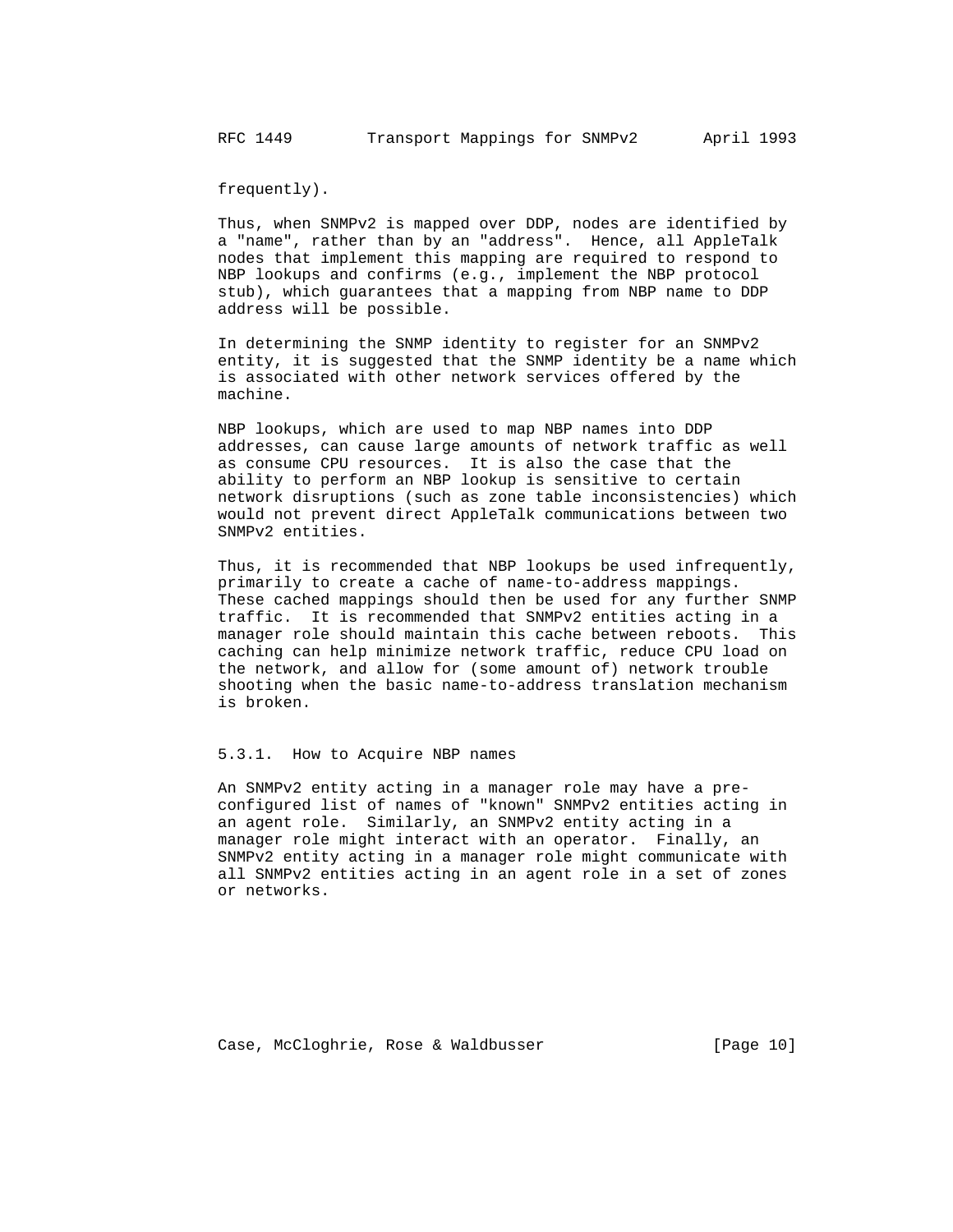frequently).

 Thus, when SNMPv2 is mapped over DDP, nodes are identified by a "name", rather than by an "address". Hence, all AppleTalk nodes that implement this mapping are required to respond to NBP lookups and confirms (e.g., implement the NBP protocol stub), which guarantees that a mapping from NBP name to DDP address will be possible.

 In determining the SNMP identity to register for an SNMPv2 entity, it is suggested that the SNMP identity be a name which is associated with other network services offered by the machine.

 NBP lookups, which are used to map NBP names into DDP addresses, can cause large amounts of network traffic as well as consume CPU resources. It is also the case that the ability to perform an NBP lookup is sensitive to certain network disruptions (such as zone table inconsistencies) which would not prevent direct AppleTalk communications between two SNMPv2 entities.

 Thus, it is recommended that NBP lookups be used infrequently, primarily to create a cache of name-to-address mappings. These cached mappings should then be used for any further SNMP traffic. It is recommended that SNMPv2 entities acting in a manager role should maintain this cache between reboots. This caching can help minimize network traffic, reduce CPU load on the network, and allow for (some amount of) network trouble shooting when the basic name-to-address translation mechanism is broken.

#### 5.3.1. How to Acquire NBP names

 An SNMPv2 entity acting in a manager role may have a pre configured list of names of "known" SNMPv2 entities acting in an agent role. Similarly, an SNMPv2 entity acting in a manager role might interact with an operator. Finally, an SNMPv2 entity acting in a manager role might communicate with all SNMPv2 entities acting in an agent role in a set of zones or networks.

Case, McCloghrie, Rose & Waldbusser [Page 10]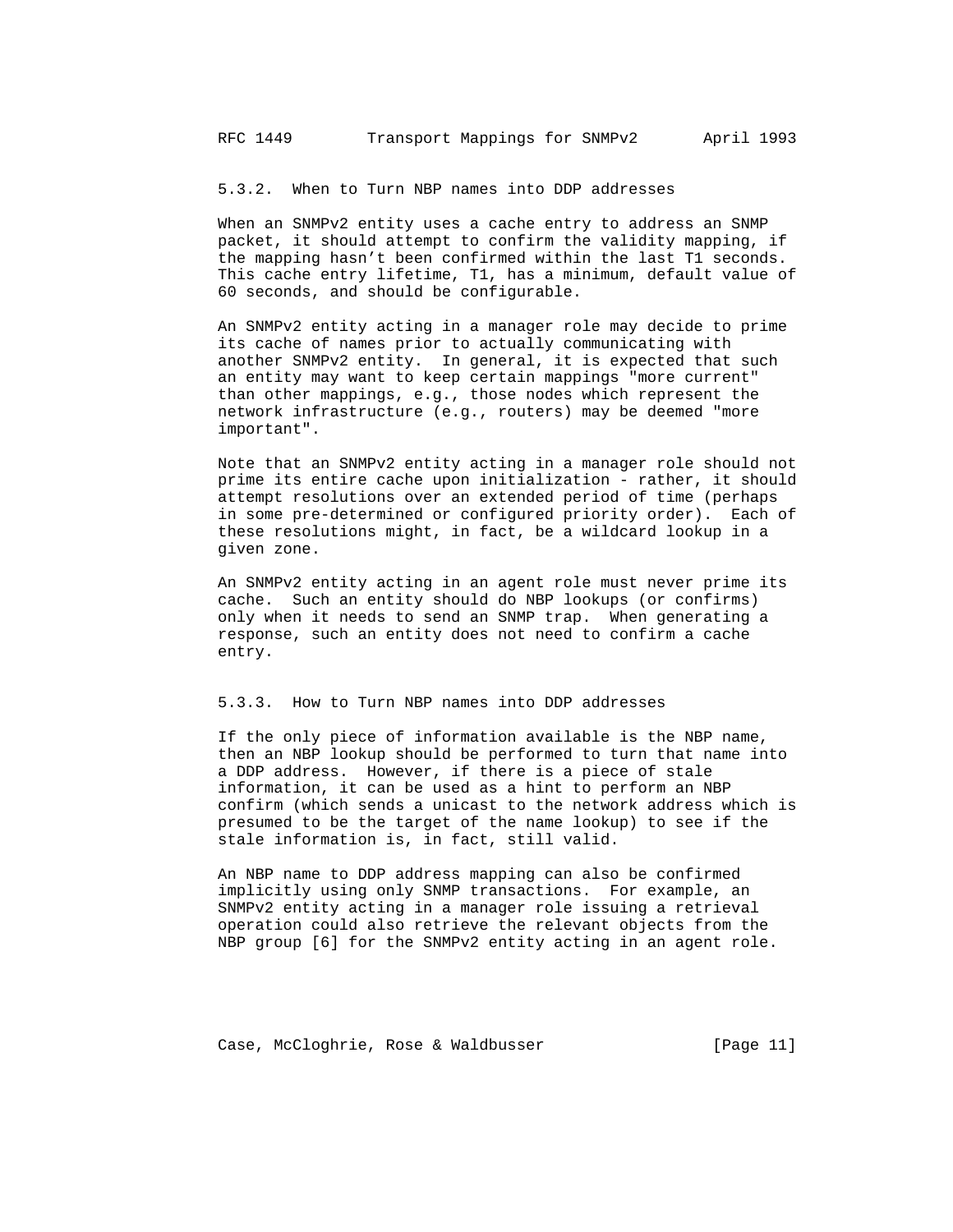5.3.2. When to Turn NBP names into DDP addresses

 When an SNMPv2 entity uses a cache entry to address an SNMP packet, it should attempt to confirm the validity mapping, if the mapping hasn't been confirmed within the last T1 seconds. This cache entry lifetime, T1, has a minimum, default value of 60 seconds, and should be configurable.

 An SNMPv2 entity acting in a manager role may decide to prime its cache of names prior to actually communicating with another SNMPv2 entity. In general, it is expected that such an entity may want to keep certain mappings "more current" than other mappings, e.g., those nodes which represent the network infrastructure (e.g., routers) may be deemed "more important".

 Note that an SNMPv2 entity acting in a manager role should not prime its entire cache upon initialization - rather, it should attempt resolutions over an extended period of time (perhaps in some pre-determined or configured priority order). Each of these resolutions might, in fact, be a wildcard lookup in a given zone.

 An SNMPv2 entity acting in an agent role must never prime its cache. Such an entity should do NBP lookups (or confirms) only when it needs to send an SNMP trap. When generating a response, such an entity does not need to confirm a cache entry.

#### 5.3.3. How to Turn NBP names into DDP addresses

 If the only piece of information available is the NBP name, then an NBP lookup should be performed to turn that name into a DDP address. However, if there is a piece of stale information, it can be used as a hint to perform an NBP confirm (which sends a unicast to the network address which is presumed to be the target of the name lookup) to see if the stale information is, in fact, still valid.

 An NBP name to DDP address mapping can also be confirmed implicitly using only SNMP transactions. For example, an SNMPv2 entity acting in a manager role issuing a retrieval operation could also retrieve the relevant objects from the NBP group [6] for the SNMPv2 entity acting in an agent role.

Case, McCloghrie, Rose & Waldbusser [Page 11]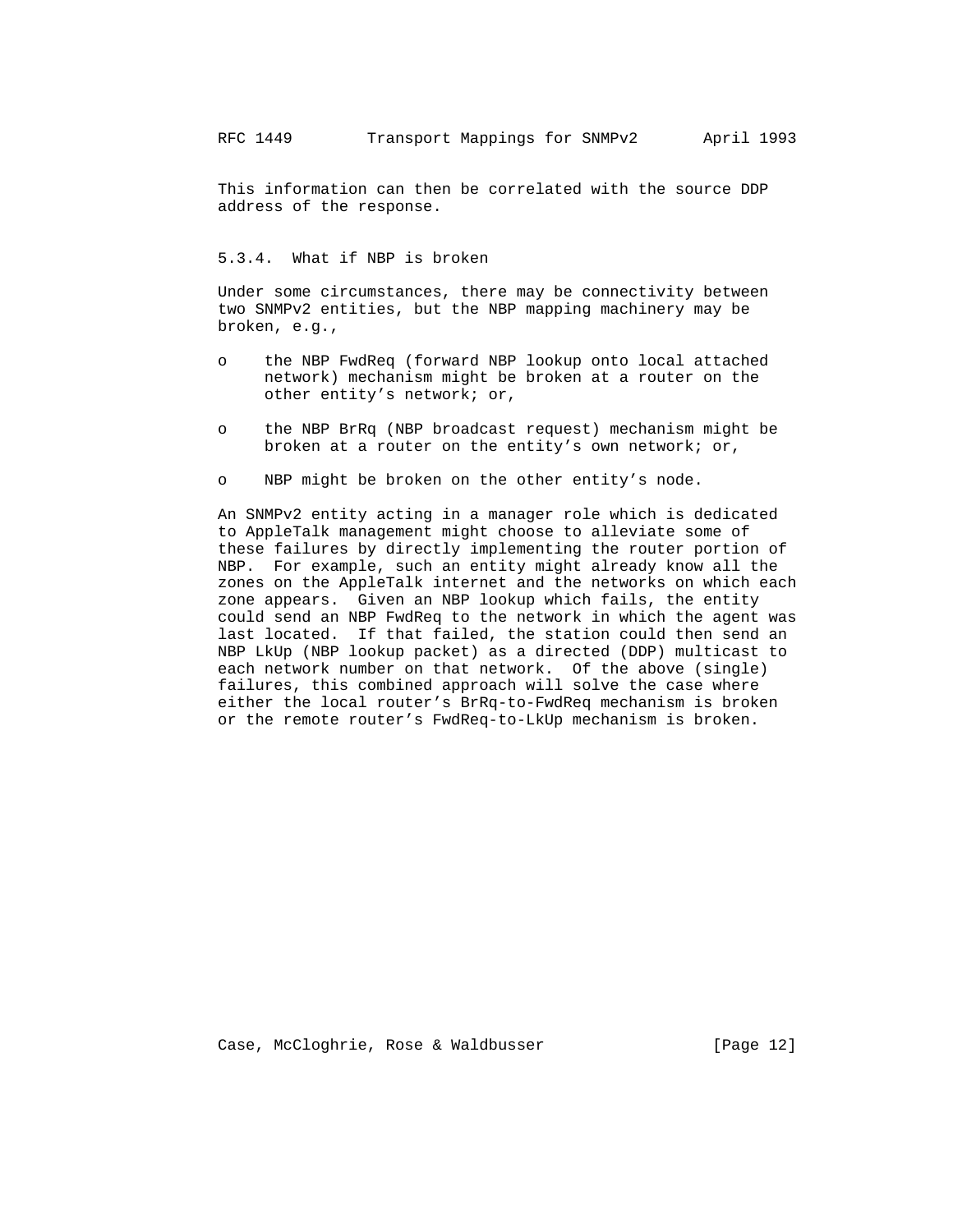This information can then be correlated with the source DDP address of the response.

# 5.3.4. What if NBP is broken

 Under some circumstances, there may be connectivity between two SNMPv2 entities, but the NBP mapping machinery may be broken, e.g.,

- o the NBP FwdReq (forward NBP lookup onto local attached network) mechanism might be broken at a router on the other entity's network; or,
- o the NBP BrRq (NBP broadcast request) mechanism might be broken at a router on the entity's own network; or,
- o NBP might be broken on the other entity's node.

 An SNMPv2 entity acting in a manager role which is dedicated to AppleTalk management might choose to alleviate some of these failures by directly implementing the router portion of NBP. For example, such an entity might already know all the zones on the AppleTalk internet and the networks on which each zone appears. Given an NBP lookup which fails, the entity could send an NBP FwdReq to the network in which the agent was last located. If that failed, the station could then send an NBP LkUp (NBP lookup packet) as a directed (DDP) multicast to each network number on that network. Of the above (single) failures, this combined approach will solve the case where either the local router's BrRq-to-FwdReq mechanism is broken or the remote router's FwdReq-to-LkUp mechanism is broken.

Case, McCloghrie, Rose & Waldbusser (Page 12)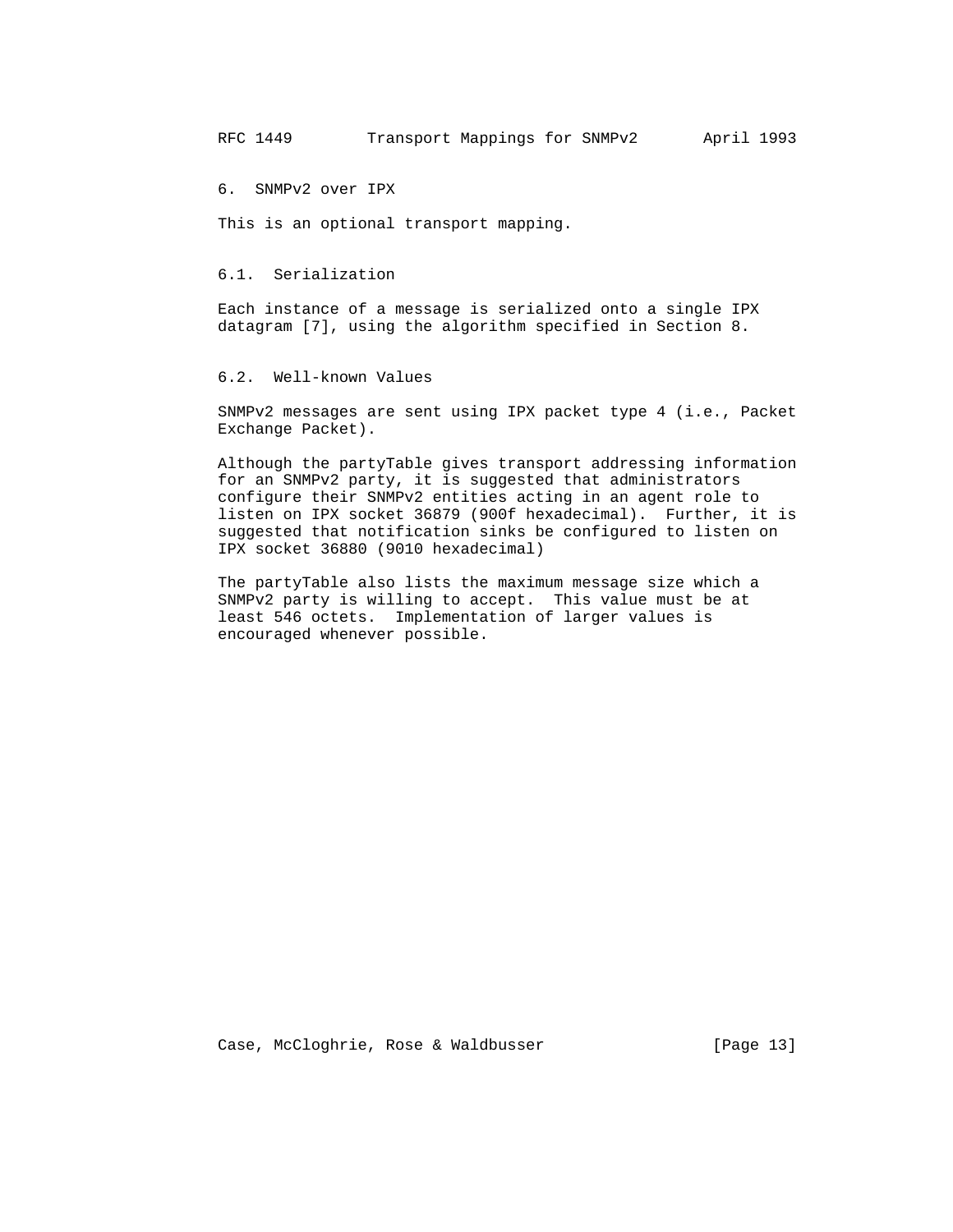6. SNMPv2 over IPX

This is an optional transport mapping.

### 6.1. Serialization

 Each instance of a message is serialized onto a single IPX datagram [7], using the algorithm specified in Section 8.

## 6.2. Well-known Values

 SNMPv2 messages are sent using IPX packet type 4 (i.e., Packet Exchange Packet).

 Although the partyTable gives transport addressing information for an SNMPv2 party, it is suggested that administrators configure their SNMPv2 entities acting in an agent role to listen on IPX socket 36879 (900f hexadecimal). Further, it is suggested that notification sinks be configured to listen on IPX socket 36880 (9010 hexadecimal)

 The partyTable also lists the maximum message size which a SNMPv2 party is willing to accept. This value must be at least 546 octets. Implementation of larger values is encouraged whenever possible.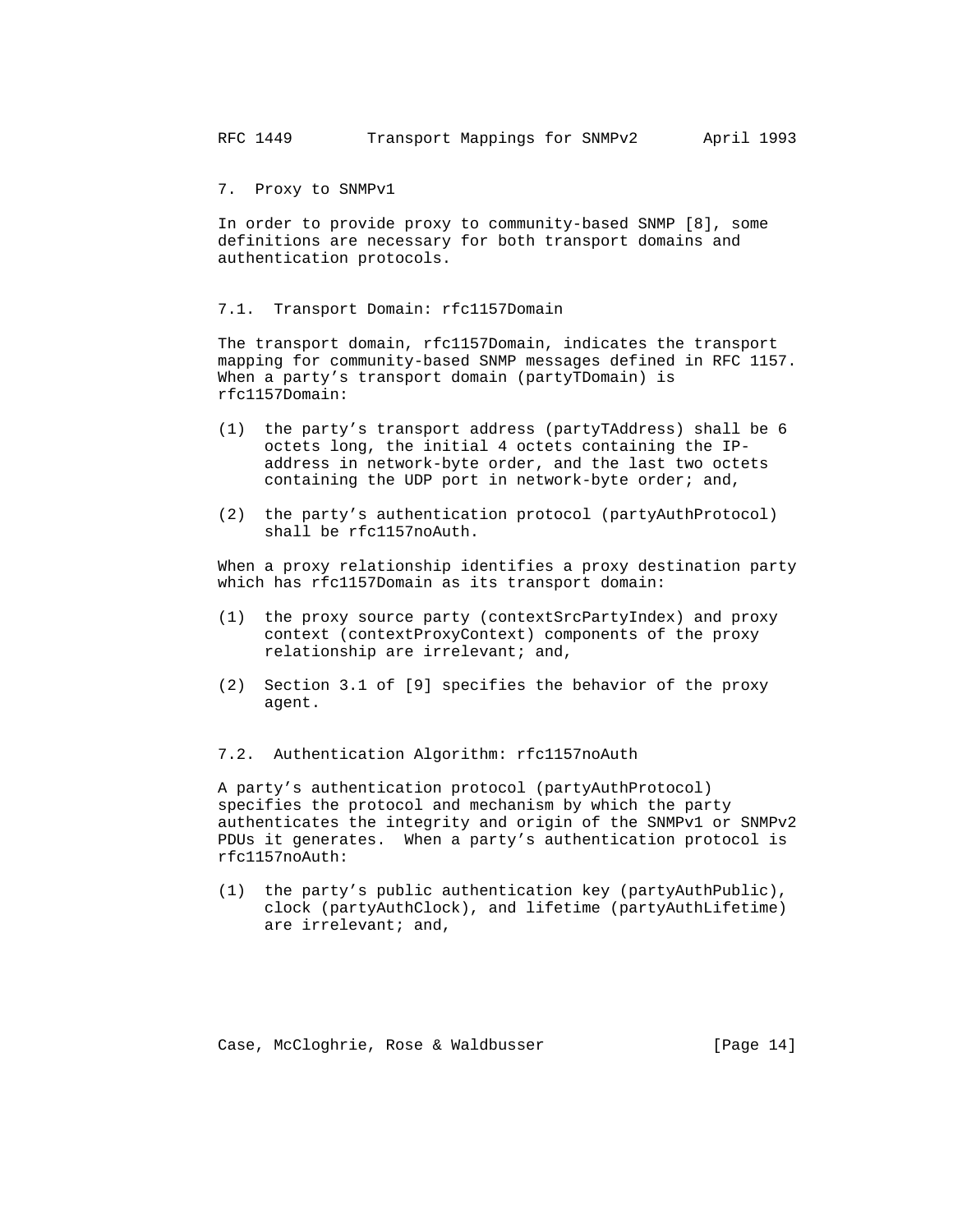7. Proxy to SNMPv1

 In order to provide proxy to community-based SNMP [8], some definitions are necessary for both transport domains and authentication protocols.

7.1. Transport Domain: rfc1157Domain

 The transport domain, rfc1157Domain, indicates the transport mapping for community-based SNMP messages defined in RFC 1157. When a party's transport domain (partyTDomain) is rfc1157Domain:

- (1) the party's transport address (partyTAddress) shall be 6 octets long, the initial 4 octets containing the IP address in network-byte order, and the last two octets containing the UDP port in network-byte order; and,
- (2) the party's authentication protocol (partyAuthProtocol) shall be rfc1157noAuth.

 When a proxy relationship identifies a proxy destination party which has rfc1157Domain as its transport domain:

- (1) the proxy source party (contextSrcPartyIndex) and proxy context (contextProxyContext) components of the proxy relationship are irrelevant; and,
- (2) Section 3.1 of [9] specifies the behavior of the proxy agent.
- 7.2. Authentication Algorithm: rfc1157noAuth

 A party's authentication protocol (partyAuthProtocol) specifies the protocol and mechanism by which the party authenticates the integrity and origin of the SNMPv1 or SNMPv2 PDUs it generates. When a party's authentication protocol is rfc1157noAuth:

 (1) the party's public authentication key (partyAuthPublic), clock (partyAuthClock), and lifetime (partyAuthLifetime) are irrelevant; and,

Case, McCloghrie, Rose & Waldbusser [Page 14]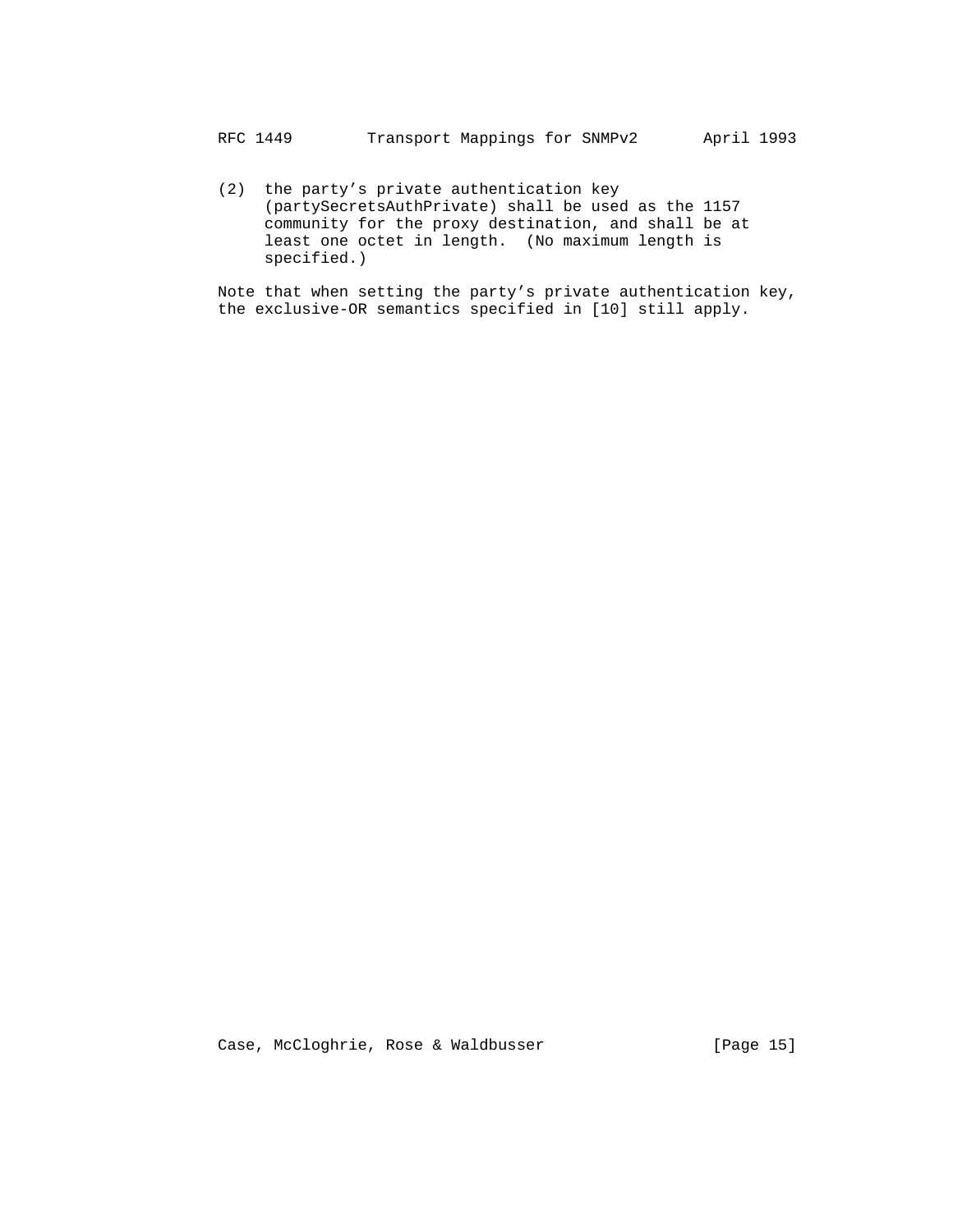(2) the party's private authentication key (partySecretsAuthPrivate) shall be used as the 1157 community for the proxy destination, and shall be at least one octet in length. (No maximum length is specified.)

 Note that when setting the party's private authentication key, the exclusive-OR semantics specified in [10] still apply.

Case, McCloghrie, Rose & Waldbusser [Page 15]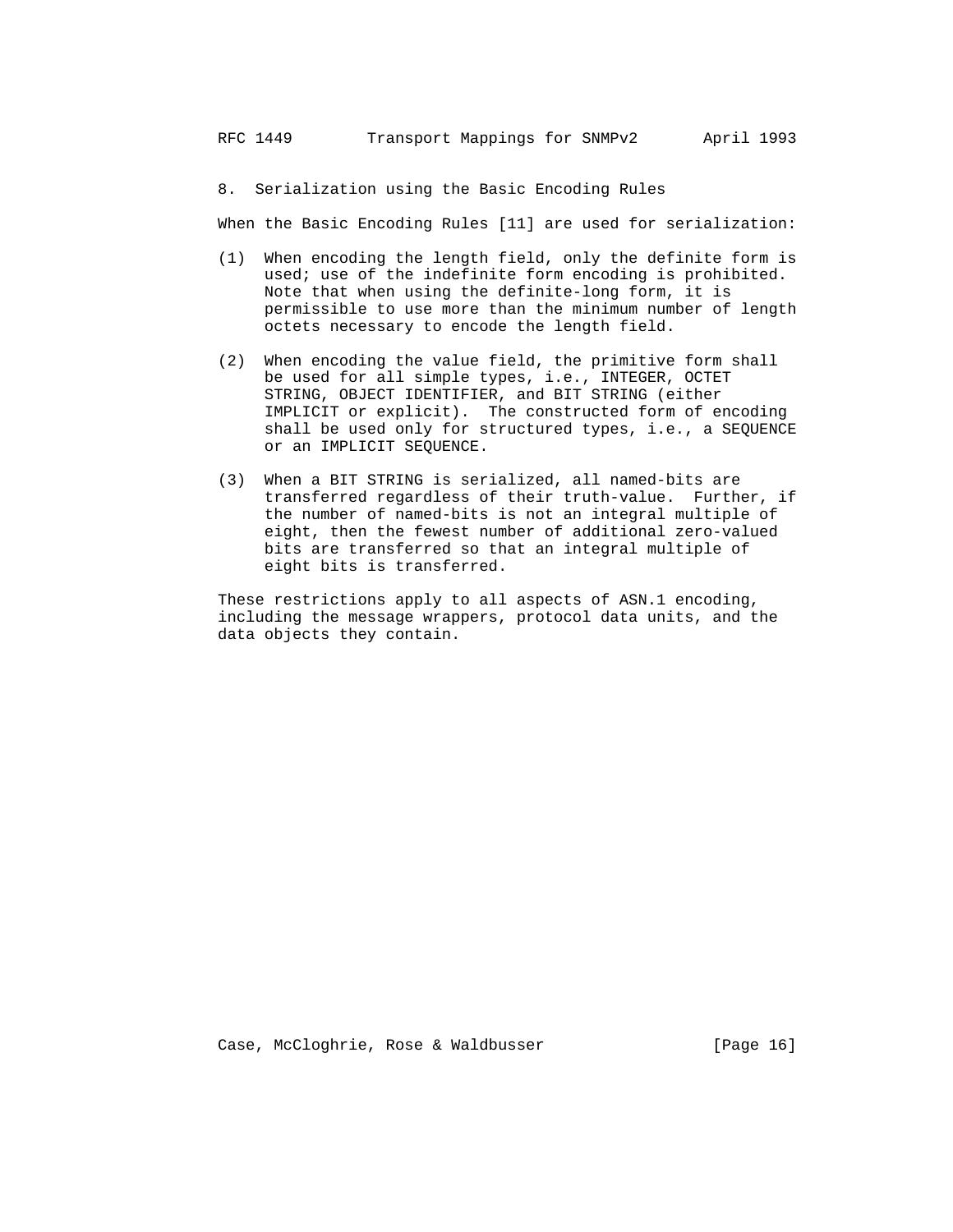8. Serialization using the Basic Encoding Rules

When the Basic Encoding Rules [11] are used for serialization:

- (1) When encoding the length field, only the definite form is used; use of the indefinite form encoding is prohibited. Note that when using the definite-long form, it is permissible to use more than the minimum number of length octets necessary to encode the length field.
- (2) When encoding the value field, the primitive form shall be used for all simple types, i.e., INTEGER, OCTET STRING, OBJECT IDENTIFIER, and BIT STRING (either IMPLICIT or explicit). The constructed form of encoding shall be used only for structured types, i.e., a SEQUENCE or an IMPLICIT SEQUENCE.
- (3) When a BIT STRING is serialized, all named-bits are transferred regardless of their truth-value. Further, if the number of named-bits is not an integral multiple of eight, then the fewest number of additional zero-valued bits are transferred so that an integral multiple of eight bits is transferred.

 These restrictions apply to all aspects of ASN.1 encoding, including the message wrappers, protocol data units, and the data objects they contain.

Case, McCloghrie, Rose & Waldbusser [Page 16]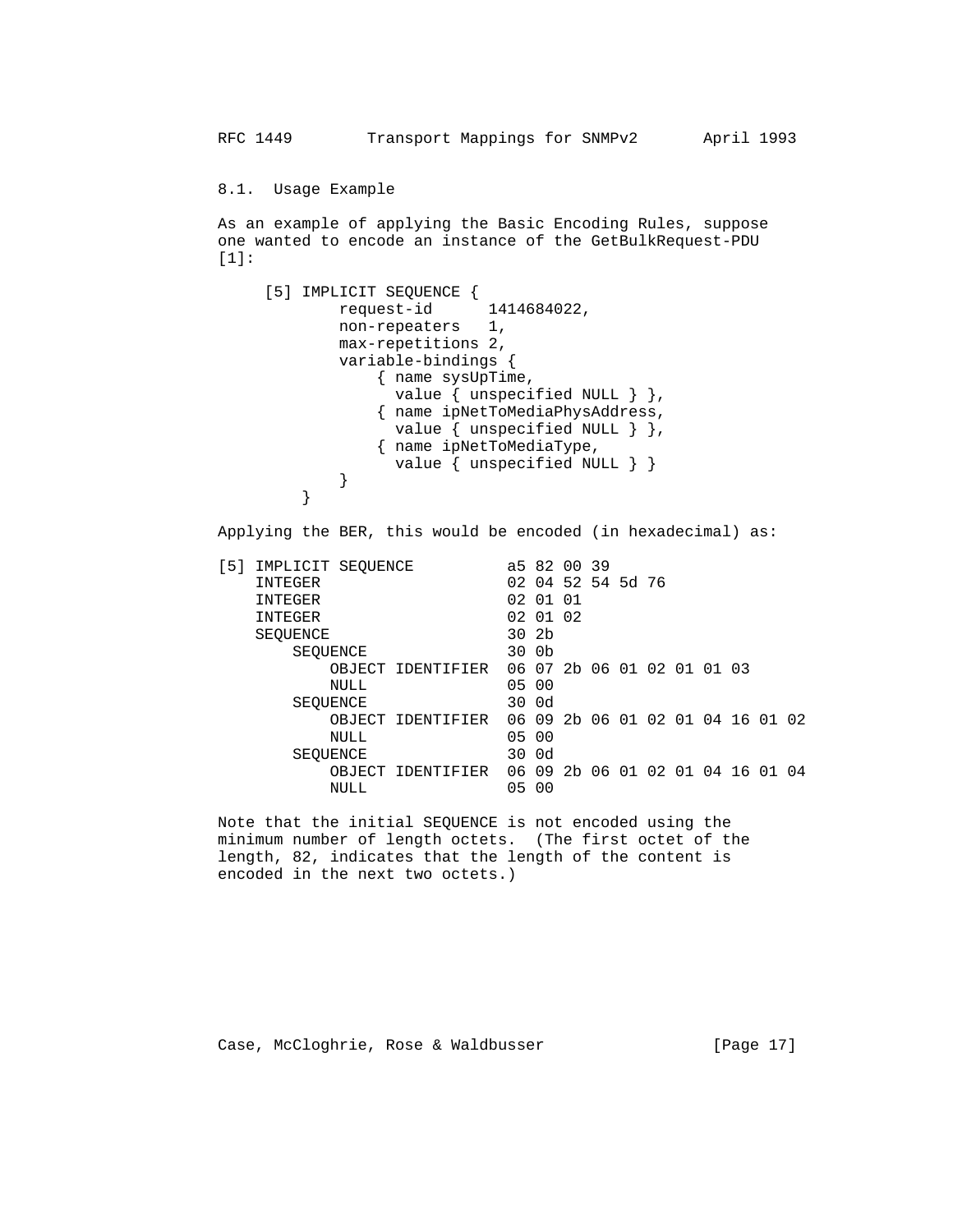8.1. Usage Example

 As an example of applying the Basic Encoding Rules, suppose one wanted to encode an instance of the GetBulkRequest-PDU  $[1]:$ 

```
 [5] IMPLICIT SEQUENCE {
                     request-id 1414684022,
                     non-repeaters 1,
                     max-repetitions 2,
                     variable-bindings {
                         { name sysUpTime,
                         value { unspecified NULL } },
                         { name ipNetToMediaPhysAddress,
                         value { unspecified NULL } },
                         { name ipNetToMediaType,
                           value { unspecified NULL } }
 }
 }
```
Applying the BER, this would be encoded (in hexadecimal) as:

```
[5] IMPLICIT SEQUENCE <br>a5 82 00 39
         INTEGER 02 04 52 54 5d 76
         INTEGER 02 01 01
        INTEGER 02 01 02 SEQUENCE 30 2b
        SEQUENCE
           SEQUENCE 30 0b
               OBJECT IDENTIFIER 06 07 2b 06 01 02 01 01 03
 NULL 05 00
           SEQUENCE 30 0d
               OBJECT IDENTIFIER 06 09 2b 06 01 02 01 04 16 01 02
 NULL 05 00
           SEQUENCE 30 0d
               OBJECT IDENTIFIER 06 09 2b 06 01 02 01 04 16 01 04
 NULL 05 00
```
 Note that the initial SEQUENCE is not encoded using the minimum number of length octets. (The first octet of the length, 82, indicates that the length of the content is encoded in the next two octets.)

Case, McCloghrie, Rose & Waldbusser (Page 17)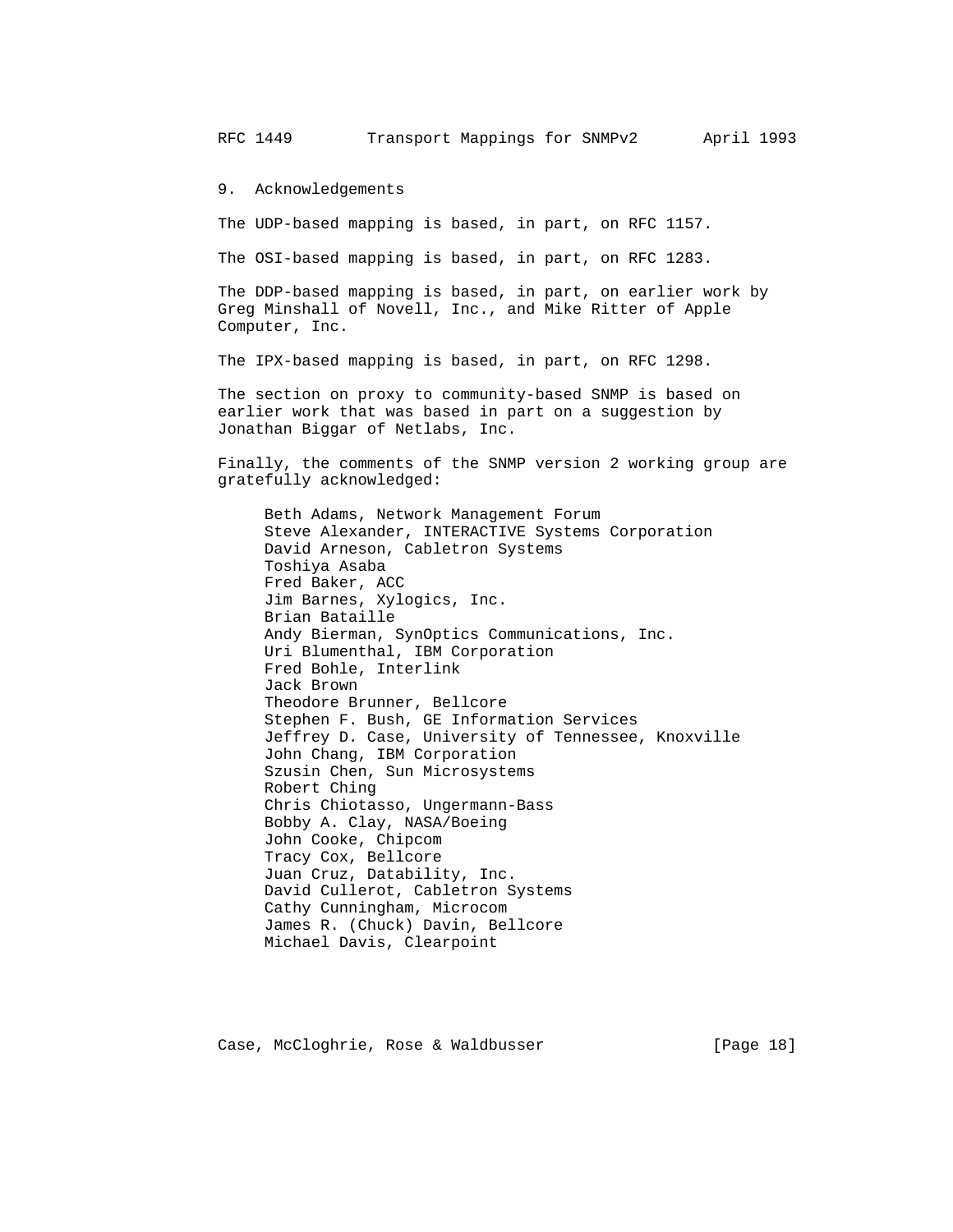9. Acknowledgements

The UDP-based mapping is based, in part, on RFC 1157.

The OSI-based mapping is based, in part, on RFC 1283.

 The DDP-based mapping is based, in part, on earlier work by Greg Minshall of Novell, Inc., and Mike Ritter of Apple Computer, Inc.

The IPX-based mapping is based, in part, on RFC 1298.

 The section on proxy to community-based SNMP is based on earlier work that was based in part on a suggestion by Jonathan Biggar of Netlabs, Inc.

 Finally, the comments of the SNMP version 2 working group are gratefully acknowledged:

 Beth Adams, Network Management Forum Steve Alexander, INTERACTIVE Systems Corporation David Arneson, Cabletron Systems Toshiya Asaba Fred Baker, ACC Jim Barnes, Xylogics, Inc. Brian Bataille Andy Bierman, SynOptics Communications, Inc. Uri Blumenthal, IBM Corporation Fred Bohle, Interlink Jack Brown Theodore Brunner, Bellcore Stephen F. Bush, GE Information Services Jeffrey D. Case, University of Tennessee, Knoxville John Chang, IBM Corporation Szusin Chen, Sun Microsystems Robert Ching Chris Chiotasso, Ungermann-Bass Bobby A. Clay, NASA/Boeing John Cooke, Chipcom Tracy Cox, Bellcore Juan Cruz, Datability, Inc. David Cullerot, Cabletron Systems Cathy Cunningham, Microcom James R. (Chuck) Davin, Bellcore Michael Davis, Clearpoint

Case, McCloghrie, Rose & Waldbusser [Page 18]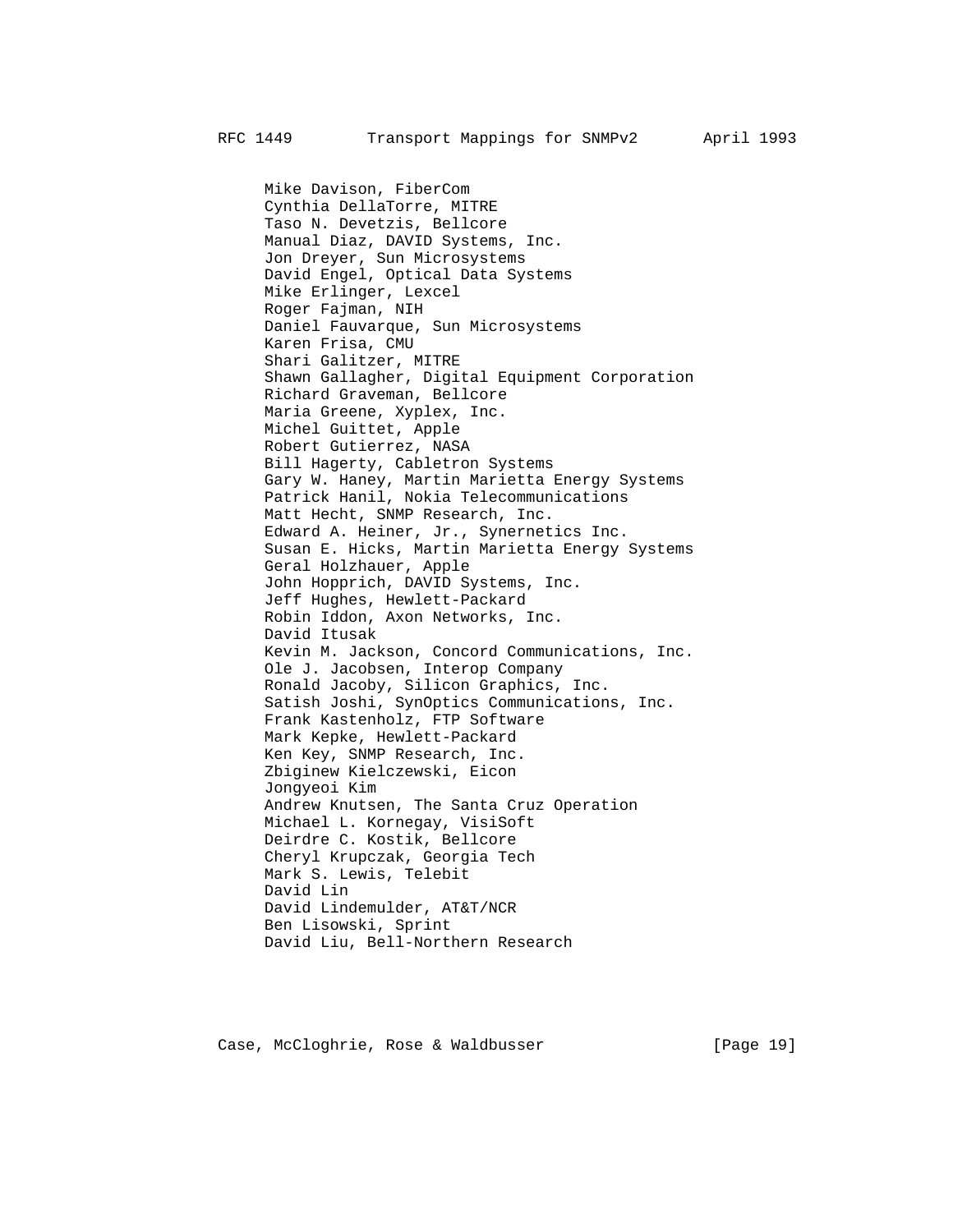Mike Davison, FiberCom Cynthia DellaTorre, MITRE Taso N. Devetzis, Bellcore Manual Diaz, DAVID Systems, Inc. Jon Dreyer, Sun Microsystems David Engel, Optical Data Systems Mike Erlinger, Lexcel Roger Fajman, NIH Daniel Fauvarque, Sun Microsystems Karen Frisa, CMU Shari Galitzer, MITRE Shawn Gallagher, Digital Equipment Corporation Richard Graveman, Bellcore Maria Greene, Xyplex, Inc. Michel Guittet, Apple Robert Gutierrez, NASA Bill Hagerty, Cabletron Systems Gary W. Haney, Martin Marietta Energy Systems Patrick Hanil, Nokia Telecommunications Matt Hecht, SNMP Research, Inc. Edward A. Heiner, Jr., Synernetics Inc. Susan E. Hicks, Martin Marietta Energy Systems Geral Holzhauer, Apple John Hopprich, DAVID Systems, Inc. Jeff Hughes, Hewlett-Packard Robin Iddon, Axon Networks, Inc. David Itusak Kevin M. Jackson, Concord Communications, Inc. Ole J. Jacobsen, Interop Company Ronald Jacoby, Silicon Graphics, Inc. Satish Joshi, SynOptics Communications, Inc. Frank Kastenholz, FTP Software Mark Kepke, Hewlett-Packard Ken Key, SNMP Research, Inc. Zbiginew Kielczewski, Eicon Jongyeoi Kim Andrew Knutsen, The Santa Cruz Operation Michael L. Kornegay, VisiSoft Deirdre C. Kostik, Bellcore Cheryl Krupczak, Georgia Tech Mark S. Lewis, Telebit David Lin David Lindemulder, AT&T/NCR Ben Lisowski, Sprint David Liu, Bell-Northern Research

Case, McCloghrie, Rose & Waldbusser [Page 19]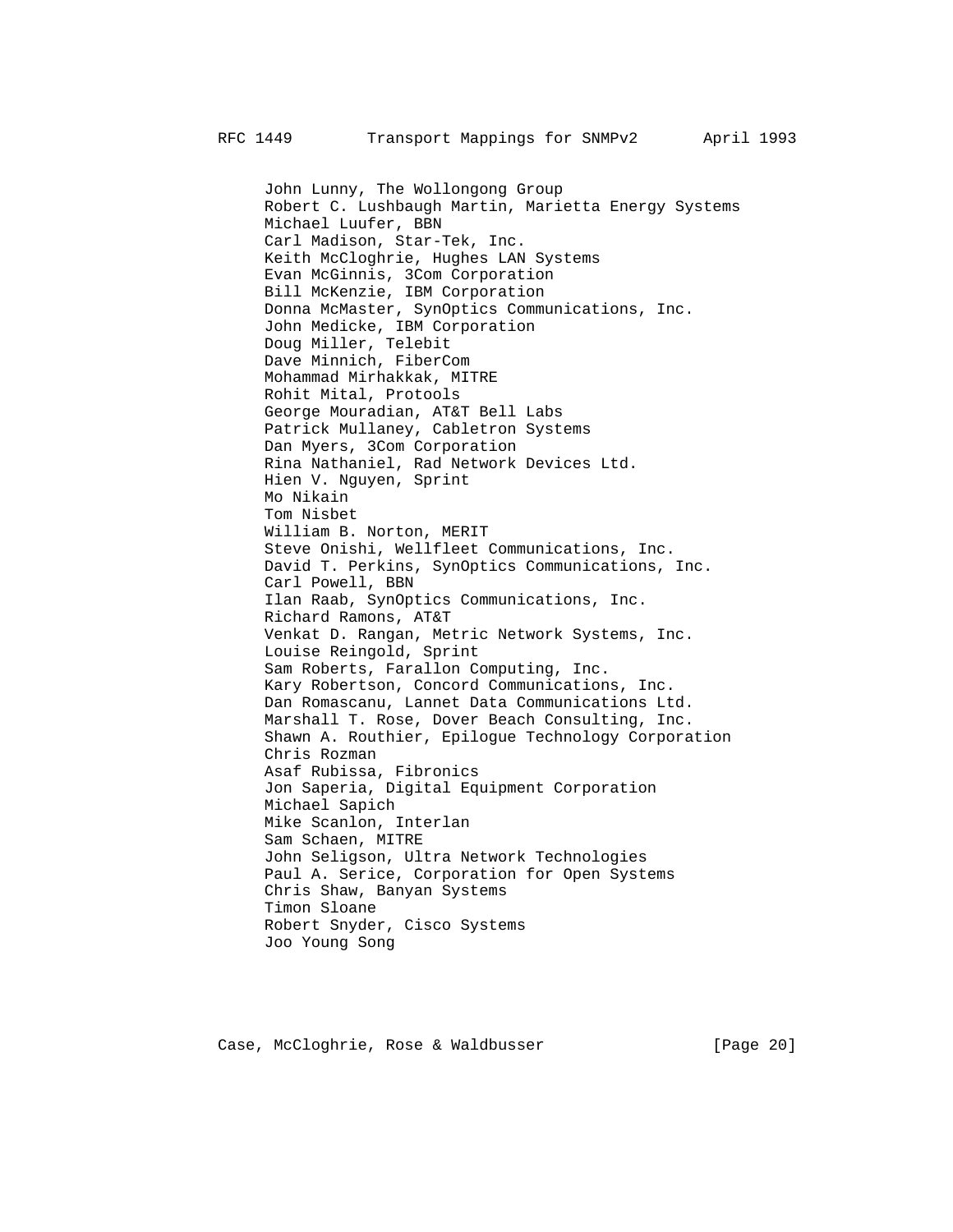John Lunny, The Wollongong Group Robert C. Lushbaugh Martin, Marietta Energy Systems Michael Luufer, BBN Carl Madison, Star-Tek, Inc. Keith McCloghrie, Hughes LAN Systems Evan McGinnis, 3Com Corporation Bill McKenzie, IBM Corporation Donna McMaster, SynOptics Communications, Inc. John Medicke, IBM Corporation Doug Miller, Telebit Dave Minnich, FiberCom Mohammad Mirhakkak, MITRE Rohit Mital, Protools George Mouradian, AT&T Bell Labs Patrick Mullaney, Cabletron Systems Dan Myers, 3Com Corporation Rina Nathaniel, Rad Network Devices Ltd. Hien V. Nguyen, Sprint Mo Nikain Tom Nisbet William B. Norton, MERIT Steve Onishi, Wellfleet Communications, Inc. David T. Perkins, SynOptics Communications, Inc. Carl Powell, BBN Ilan Raab, SynOptics Communications, Inc. Richard Ramons, AT&T Venkat D. Rangan, Metric Network Systems, Inc. Louise Reingold, Sprint Sam Roberts, Farallon Computing, Inc. Kary Robertson, Concord Communications, Inc. Dan Romascanu, Lannet Data Communications Ltd. Marshall T. Rose, Dover Beach Consulting, Inc. Shawn A. Routhier, Epilogue Technology Corporation Chris Rozman Asaf Rubissa, Fibronics Jon Saperia, Digital Equipment Corporation Michael Sapich Mike Scanlon, Interlan Sam Schaen, MITRE John Seligson, Ultra Network Technologies Paul A. Serice, Corporation for Open Systems Chris Shaw, Banyan Systems Timon Sloane Robert Snyder, Cisco Systems Joo Young Song

Case, McCloghrie, Rose & Waldbusser [Page 20]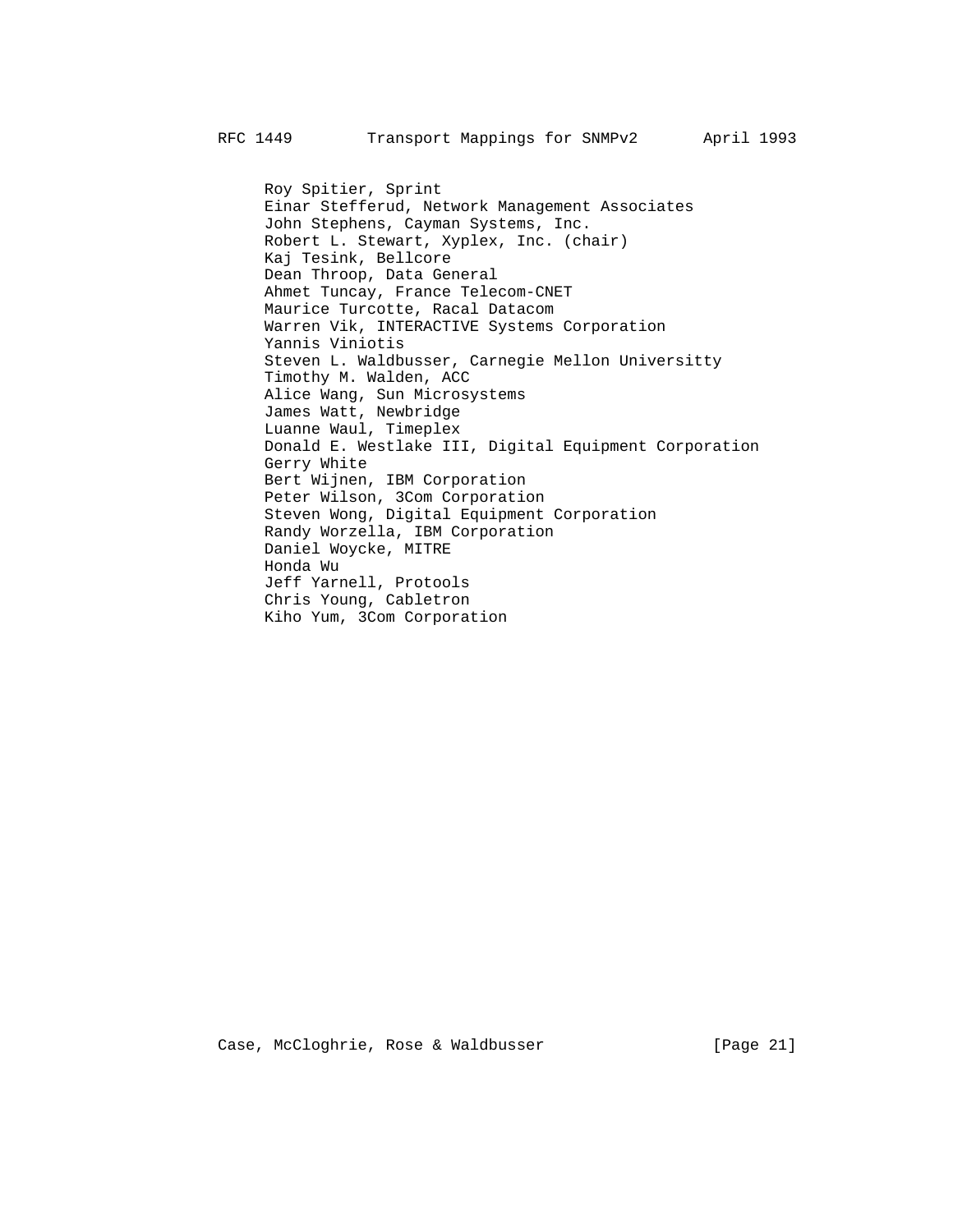Roy Spitier, Sprint Einar Stefferud, Network Management Associates John Stephens, Cayman Systems, Inc. Robert L. Stewart, Xyplex, Inc. (chair) Kaj Tesink, Bellcore Dean Throop, Data General Ahmet Tuncay, France Telecom-CNET Maurice Turcotte, Racal Datacom Warren Vik, INTERACTIVE Systems Corporation Yannis Viniotis Steven L. Waldbusser, Carnegie Mellon Universitty Timothy M. Walden, ACC Alice Wang, Sun Microsystems James Watt, Newbridge Luanne Waul, Timeplex Donald E. Westlake III, Digital Equipment Corporation Gerry White Bert Wijnen, IBM Corporation Peter Wilson, 3Com Corporation Steven Wong, Digital Equipment Corporation Randy Worzella, IBM Corporation Daniel Woycke, MITRE Honda Wu Jeff Yarnell, Protools Chris Young, Cabletron Kiho Yum, 3Com Corporation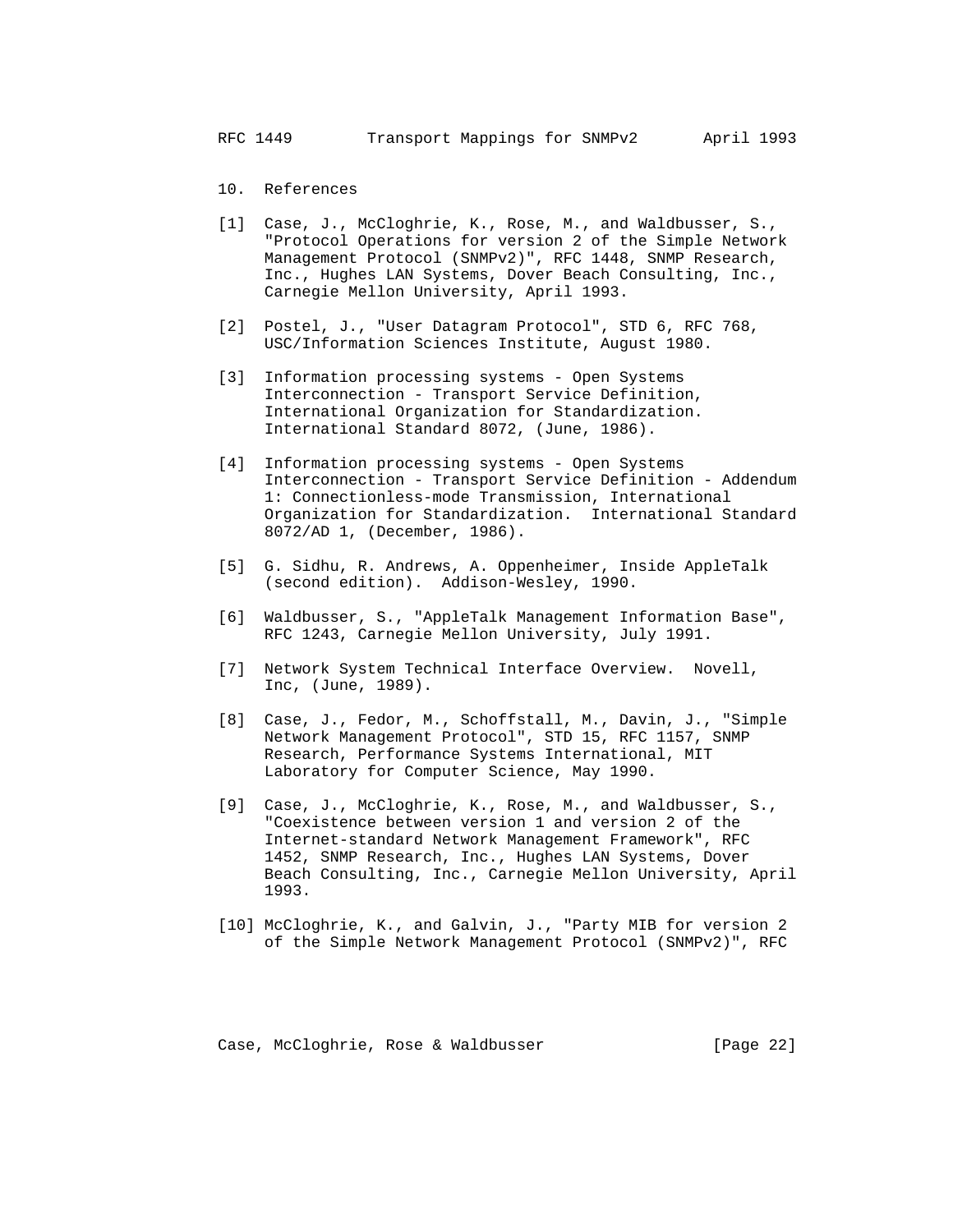- 10. References
- [1] Case, J., McCloghrie, K., Rose, M., and Waldbusser, S., "Protocol Operations for version 2 of the Simple Network Management Protocol (SNMPv2)", RFC 1448, SNMP Research, Inc., Hughes LAN Systems, Dover Beach Consulting, Inc., Carnegie Mellon University, April 1993.
- [2] Postel, J., "User Datagram Protocol", STD 6, RFC 768, USC/Information Sciences Institute, August 1980.
- [3] Information processing systems Open Systems Interconnection - Transport Service Definition, International Organization for Standardization. International Standard 8072, (June, 1986).
- [4] Information processing systems Open Systems Interconnection - Transport Service Definition - Addendum 1: Connectionless-mode Transmission, International Organization for Standardization. International Standard 8072/AD 1, (December, 1986).
- [5] G. Sidhu, R. Andrews, A. Oppenheimer, Inside AppleTalk (second edition). Addison-Wesley, 1990.
- [6] Waldbusser, S., "AppleTalk Management Information Base", RFC 1243, Carnegie Mellon University, July 1991.
- [7] Network System Technical Interface Overview. Novell, Inc, (June, 1989).
- [8] Case, J., Fedor, M., Schoffstall, M., Davin, J., "Simple Network Management Protocol", STD 15, RFC 1157, SNMP Research, Performance Systems International, MIT Laboratory for Computer Science, May 1990.
- [9] Case, J., McCloghrie, K., Rose, M., and Waldbusser, S., "Coexistence between version 1 and version 2 of the Internet-standard Network Management Framework", RFC 1452, SNMP Research, Inc., Hughes LAN Systems, Dover Beach Consulting, Inc., Carnegie Mellon University, April 1993.
- [10] McCloghrie, K., and Galvin, J., "Party MIB for version 2 of the Simple Network Management Protocol (SNMPv2)", RFC

Case, McCloghrie, Rose & Waldbusser [Page 22]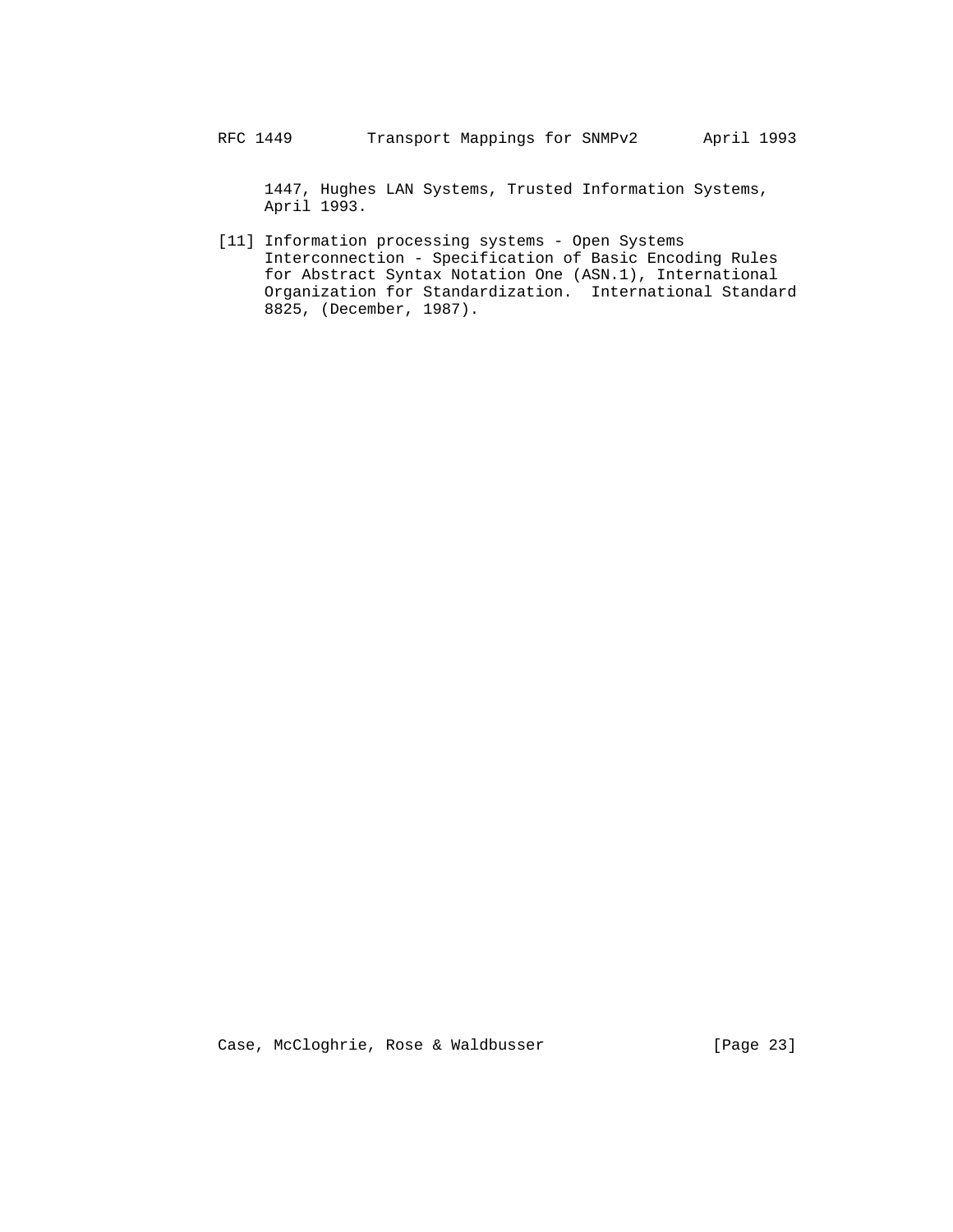1447, Hughes LAN Systems, Trusted Information Systems, April 1993.

 [11] Information processing systems - Open Systems Interconnection - Specification of Basic Encoding Rules for Abstract Syntax Notation One (ASN.1), International Organization for Standardization. International Standard 8825, (December, 1987).

Case, McCloghrie, Rose & Waldbusser [Page 23]